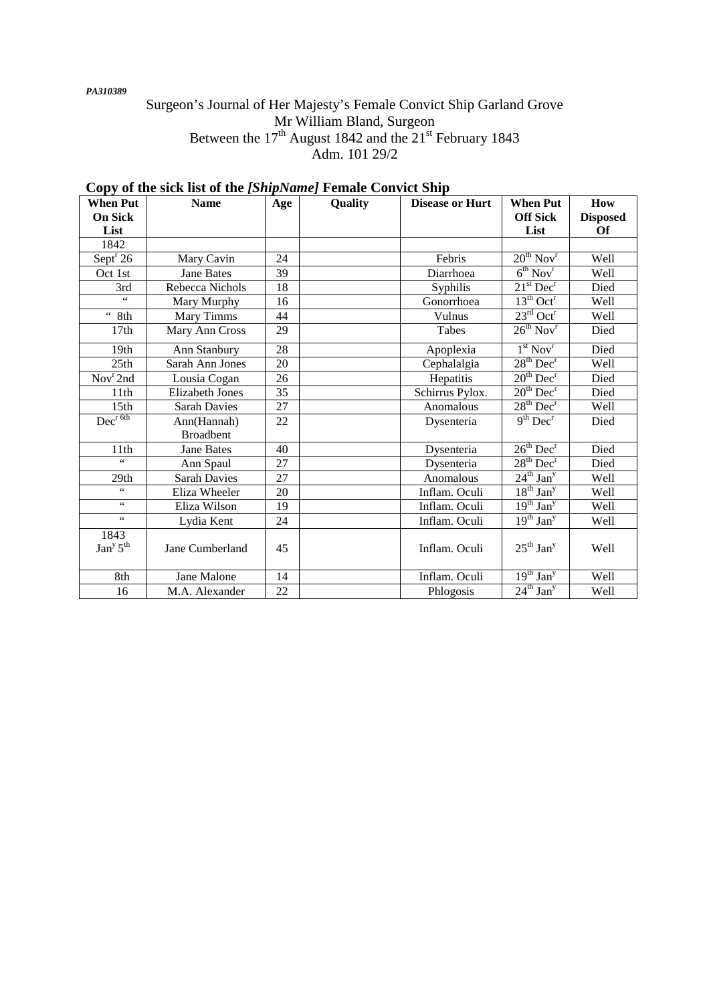*PA310389* 

## Surgeon's Journal of Her Majesty's Female Convict Ship Garland Grove Mr William Bland, Surgeon Between the  $17<sup>th</sup>$  August 1842 and the  $21<sup>st</sup>$  February 1843 Adm. 101 29/2

| <b>When Put</b>                          | <b>Name</b>            | Age | Quality | <b>Disease or Hurt</b> | <b>When Put</b>                       | How             |
|------------------------------------------|------------------------|-----|---------|------------------------|---------------------------------------|-----------------|
| <b>On Sick</b>                           |                        |     |         |                        | <b>Off Sick</b>                       | <b>Disposed</b> |
| List                                     |                        |     |         |                        | List                                  | <b>Of</b>       |
| 1842                                     |                        |     |         |                        |                                       |                 |
| Sept $^r$ 26                             | Mary Cavin             | 24  |         | Febris                 | $20^{th}$ Nov <sup>r</sup>            | Well            |
| Oct 1st                                  | <b>Jane Bates</b>      | 39  |         | Diarrhoea              | $6^{th}$ Nov <sup>r</sup>             | Well            |
| 3rd                                      | Rebecca Nichols        | 18  |         | Syphilis               | $21st$ Dec <sup>r</sup>               | Died            |
| $\leq$ $\leq$                            | Mary Murphy            | 16  |         | Gonorrhoea             | $13th$ Oct <sup>r</sup>               | Well            |
| $\zeta\,\zeta$<br>8th                    | Mary Timms             | 44  |         | Vulnus                 | $23^{\text{rd}}$ Oct <sup>r</sup>     | Well            |
| 17 <sub>th</sub>                         | Mary Ann Cross         | 29  |         | Tabes                  | $26^{th}$ Nov <sup>r</sup>            | Died            |
| 19th                                     | Ann Stanbury           | 28  |         | Apoplexia              | 1 <sup>st</sup> Nov <sup>r</sup>      | Died            |
| 25th                                     | Sarah Ann Jones        | 20  |         | Cephalalgia            | $28th$ Dec <sup>r</sup>               | Well            |
| Nov <sup>r</sup> 2nd                     | Lousia Cogan           | 26  |         | Hepatitis              | $20th$ Dec <sup>r</sup>               | Died            |
| 11th                                     | <b>Elizabeth Jones</b> | 35  |         | Schirrus Pylox.        | $20th$ Dec <sup>r</sup>               | Died            |
| 15 <sub>th</sub>                         | <b>Sarah Davies</b>    | 27  |         | Anomalous              | 28 <sup>th</sup> Dec <sup>r</sup>     | Well            |
| Dec <sup>r 6th</sup>                     | Ann(Hannah)            | 22  |         | Dysenteria             | $9th$ Dec <sup>r</sup>                | Died            |
|                                          | <b>Broadbent</b>       |     |         |                        |                                       |                 |
| 11th                                     | <b>Jane Bates</b>      | 40  |         | Dysenteria             | 26 <sup>th</sup> Dec <sup>r</sup>     | Died            |
| $\zeta$ $\zeta$                          | Ann Spaul              | 27  |         | Dysenteria             | $28th$ Dec <sup>r</sup>               | Died            |
| 29th                                     | <b>Sarah Davies</b>    | 27  |         | Anomalous              | $\overline{24^{th}}$ Jan <sup>y</sup> | Well            |
| $\zeta$ $\zeta$                          | Eliza Wheeler          | 20  |         | Inflam. Oculi          | $18^{th}$ Jan <sup>y</sup>            | Well            |
| $\zeta$ $\zeta$                          | Eliza Wilson           | 19  |         | Inflam. Oculi          | $19^{th}$ Jan <sup>y</sup>            | Well            |
| $\zeta$ $\zeta$                          | Lydia Kent             | 24  |         | Inflam. Oculi          | $\overline{19^{th}}$ Jan <sup>y</sup> | Well            |
| 1843<br>Jan <sup>y</sup> 5 <sup>th</sup> | Jane Cumberland        | 45  |         | Inflam. Oculi          | $25^{\text{th}}$ Jan <sup>y</sup>     | Well            |
| 8th                                      | Jane Malone            | 14  |         | Inflam. Oculi          | $19^{th}$ Jan <sup>y</sup>            | Well            |
| 16                                       | M.A. Alexander         | 22  |         | Phlogosis              | $24^{\text{th}}$ Jan <sup>y</sup>     | Well            |

# **Copy of the sick list of the** *[ShipName]* **Female Convict Ship**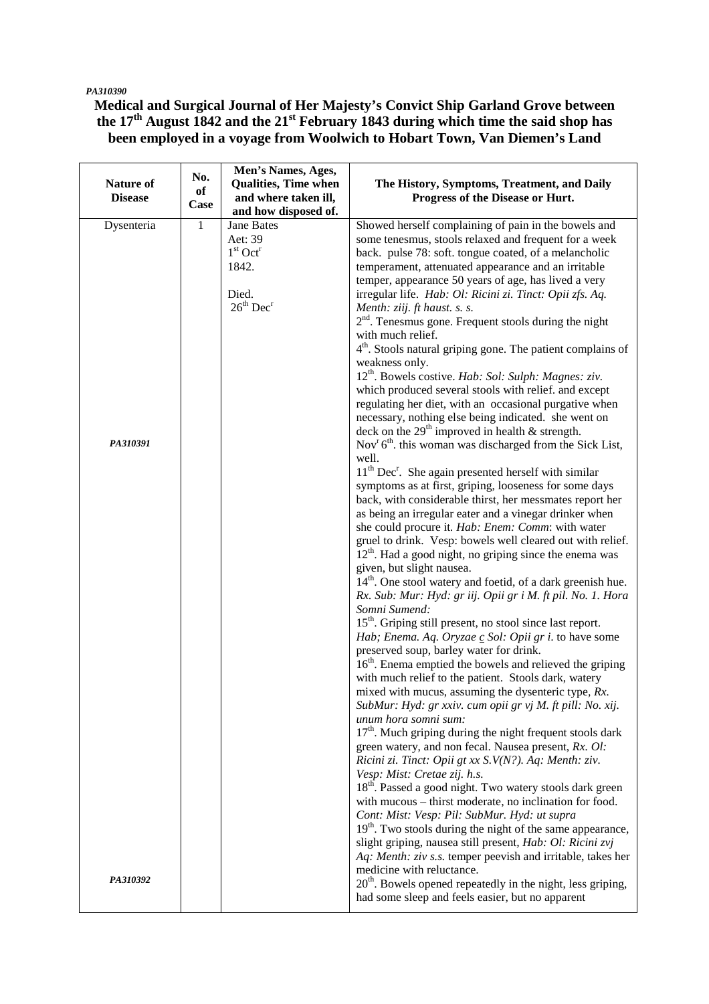#### *PA310390*

**Medical and Surgical Journal of Her Majesty's Convict Ship Garland Grove between the 17th August 1842 and the 21st February 1843 during which time the said shop has been employed in a voyage from Woolwich to Hobart Town, Van Diemen's Land** 

|                  |              | Men's Names, Ages,                |                                                                              |
|------------------|--------------|-----------------------------------|------------------------------------------------------------------------------|
| <b>Nature of</b> | No.          | <b>Qualities, Time when</b>       | The History, Symptoms, Treatment, and Daily                                  |
| <b>Disease</b>   | of           | and where taken ill,              | Progress of the Disease or Hurt.                                             |
|                  | Case         | and how disposed of.              |                                                                              |
| Dysenteria       | $\mathbf{1}$ | <b>Jane Bates</b>                 | Showed herself complaining of pain in the bowels and                         |
|                  |              | Aet: 39                           | some tenesmus, stools relaxed and frequent for a week                        |
|                  |              | $1st$ Oct <sup>r</sup>            | back. pulse 78: soft. tongue coated, of a melancholic                        |
|                  |              | 1842.                             | temperament, attenuated appearance and an irritable                          |
|                  |              |                                   | temper, appearance 50 years of age, has lived a very                         |
|                  |              | Died.                             | irregular life. Hab: Ol: Ricini zi. Tinct: Opii zfs. Aq.                     |
|                  |              | 26 <sup>th</sup> Dec <sup>r</sup> | Menth: ziij. ft haust. s. s.                                                 |
|                  |              |                                   | $2nd$ . Tenesmus gone. Frequent stools during the night                      |
|                  |              |                                   | with much relief.                                                            |
|                  |              |                                   | 4 <sup>th</sup> . Stools natural griping gone. The patient complains of      |
|                  |              |                                   | weakness only.                                                               |
|                  |              |                                   | 12 <sup>th</sup> . Bowels costive. Hab: Sol: Sulph: Magnes: ziv.             |
|                  |              |                                   | which produced several stools with relief. and except                        |
|                  |              |                                   |                                                                              |
|                  |              |                                   | regulating her diet, with an occasional purgative when                       |
|                  |              |                                   | necessary, nothing else being indicated. she went on                         |
| PA310391         |              |                                   | deck on the 29 <sup>th</sup> improved in health & strength.                  |
|                  |              |                                   | Nov <sup>r</sup> $6th$ , this woman was discharged from the Sick List,       |
|                  |              |                                   | well.                                                                        |
|                  |              |                                   | 11 <sup>th</sup> Dec <sup>r</sup> . She again presented herself with similar |
|                  |              |                                   | symptoms as at first, griping, looseness for some days                       |
|                  |              |                                   | back, with considerable thirst, her messmates report her                     |
|                  |              |                                   | as being an irregular eater and a vinegar drinker when                       |
|                  |              |                                   | she could procure it. Hab: Enem: Comm: with water                            |
|                  |              |                                   | gruel to drink. Vesp: bowels well cleared out with relief.                   |
|                  |              |                                   | $12th$ . Had a good night, no griping since the enema was                    |
|                  |              |                                   | given, but slight nausea.                                                    |
|                  |              |                                   | 14 <sup>th</sup> . One stool watery and foetid, of a dark greenish hue.      |
|                  |              |                                   | Rx. Sub: Mur: Hyd: gr iij. Opii gr i M. ft pil. No. 1. Hora                  |
|                  |              |                                   | Somni Sumend:                                                                |
|                  |              |                                   | $15th$ . Griping still present, no stool since last report.                  |
|                  |              |                                   | Hab; Enema. Aq. Oryzae c Sol: Opii gr i. to have some                        |
|                  |              |                                   | preserved soup, barley water for drink.                                      |
|                  |              |                                   | 16 <sup>th</sup> . Enema emptied the bowels and relieved the griping         |
|                  |              |                                   | with much relief to the patient. Stools dark, watery                         |
|                  |              |                                   | mixed with mucus, assuming the dysenteric type, $Rx$ .                       |
|                  |              |                                   | SubMur: Hyd: gr xxiv. cum opii gr vj M. ft pill: No. xij.                    |
|                  |              |                                   | unum hora somni sum:                                                         |
|                  |              |                                   | 17 <sup>th</sup> . Much griping during the night frequent stools dark        |
|                  |              |                                   | green watery, and non fecal. Nausea present, Rx. Ol:                         |
|                  |              |                                   | Ricini zi. Tinct: Opii gt xx S.V(N?). Aq: Menth: ziv.                        |
|                  |              |                                   | Vesp: Mist: Cretae zij. h.s.                                                 |
|                  |              |                                   | 18 <sup>th</sup> . Passed a good night. Two watery stools dark green         |
|                  |              |                                   | with mucous – thirst moderate, no inclination for food.                      |
|                  |              |                                   | Cont: Mist: Vesp: Pil: SubMur. Hyd: ut supra                                 |
|                  |              |                                   | $19th$ . Two stools during the night of the same appearance,                 |
|                  |              |                                   | slight griping, nausea still present, Hab: Ol: Ricini zvj                    |
|                  |              |                                   | Aq: Menth: ziv s.s. temper peevish and irritable, takes her                  |
|                  |              |                                   | medicine with reluctance.                                                    |
| PA310392         |              |                                   | 20 <sup>th</sup> . Bowels opened repeatedly in the night, less griping,      |
|                  |              |                                   | had some sleep and feels easier, but no apparent                             |
|                  |              |                                   |                                                                              |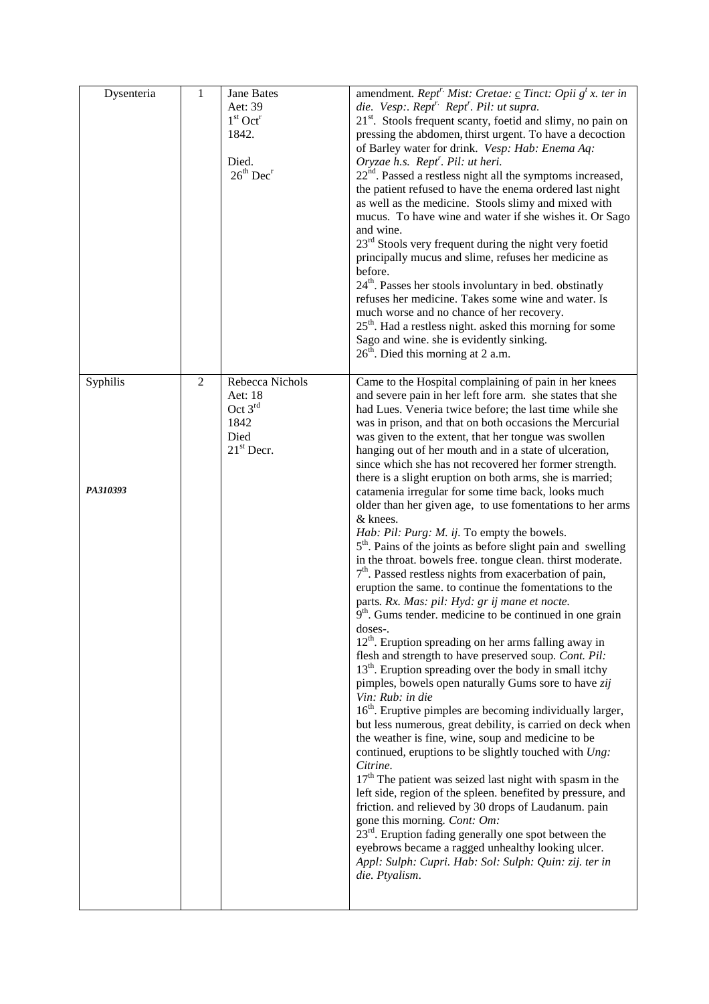| Dysenteria           | $\mathbf{1}$   | Jane Bates<br>Aet: 39<br>$1st$ Oct <sup>r</sup><br>1842.<br>Died.<br>$26th$ Dec <sup>r</sup> | amendment. Rept <sup>r.</sup> Mist: Cretae: <u>c</u> Tinct: Opii g <sup>t</sup> x. ter in<br>die. Vesp:. Rept <sup>r.</sup> Rept <sup>r</sup> . Pil: ut supra.<br>$21st$ . Stools frequent scanty, foetid and slimy, no pain on<br>pressing the abdomen, thirst urgent. To have a decoction<br>of Barley water for drink. Vesp: Hab: Enema Aq:<br>Oryzae h.s. Rept <sup>r</sup> . Pil: ut heri.<br>$22nd$ . Passed a restless night all the symptoms increased,<br>the patient refused to have the enema ordered last night<br>as well as the medicine. Stools slimy and mixed with<br>mucus. To have wine and water if she wishes it. Or Sago<br>and wine.<br>23 <sup>rd</sup> Stools very frequent during the night very foetid<br>principally mucus and slime, refuses her medicine as<br>before.<br>24 <sup>th</sup> . Passes her stools involuntary in bed. obstinatly<br>refuses her medicine. Takes some wine and water. Is<br>much worse and no chance of her recovery.<br>$25th$ . Had a restless night. asked this morning for some<br>Sago and wine. she is evidently sinking.<br>$26th$ . Died this morning at 2 a.m.                                                                                                                                                                                                                                                                                                                                                                                                                                                                                                                                                                                                                                                                                                                                                                                                                                                                                   |
|----------------------|----------------|----------------------------------------------------------------------------------------------|---------------------------------------------------------------------------------------------------------------------------------------------------------------------------------------------------------------------------------------------------------------------------------------------------------------------------------------------------------------------------------------------------------------------------------------------------------------------------------------------------------------------------------------------------------------------------------------------------------------------------------------------------------------------------------------------------------------------------------------------------------------------------------------------------------------------------------------------------------------------------------------------------------------------------------------------------------------------------------------------------------------------------------------------------------------------------------------------------------------------------------------------------------------------------------------------------------------------------------------------------------------------------------------------------------------------------------------------------------------------------------------------------------------------------------------------------------------------------------------------------------------------------------------------------------------------------------------------------------------------------------------------------------------------------------------------------------------------------------------------------------------------------------------------------------------------------------------------------------------------------------------------------------------------------------------------------------------------------------------------------------------------|
| Syphilis<br>PA310393 | $\overline{2}$ | Rebecca Nichols<br>Aet: 18<br>Oct $3rd$<br>1842<br>Died<br>$21st$ Decr.                      | Came to the Hospital complaining of pain in her knees<br>and severe pain in her left fore arm. she states that she<br>had Lues. Veneria twice before; the last time while she<br>was in prison, and that on both occasions the Mercurial<br>was given to the extent, that her tongue was swollen<br>hanging out of her mouth and in a state of ulceration,<br>since which she has not recovered her former strength.<br>there is a slight eruption on both arms, she is married;<br>catamenia irregular for some time back, looks much<br>older than her given age, to use fomentations to her arms<br>& knees.<br>Hab: Pil: Purg: M. ij. To empty the bowels.<br>$5th$ . Pains of the joints as before slight pain and swelling<br>in the throat. bowels free. tongue clean. thirst moderate.<br>$7th$ . Passed restless nights from exacerbation of pain,<br>eruption the same. to continue the fomentations to the<br>parts. Rx. Mas: pil: Hyd: gr ij mane et nocte.<br>$9th$ . Gums tender, medicine to be continued in one grain<br>doses-.<br>12 <sup>th</sup> . Eruption spreading on her arms falling away in<br>flesh and strength to have preserved soup. Cont. Pil:<br>$13th$ . Eruption spreading over the body in small itchy<br>pimples, bowels open naturally Gums sore to have zij<br>Vin: Rub: in die<br>16 <sup>th</sup> . Eruptive pimples are becoming individually larger,<br>but less numerous, great debility, is carried on deck when<br>the weather is fine, wine, soup and medicine to be<br>continued, eruptions to be slightly touched with Ung:<br>Citrine.<br>17 <sup>th</sup> The patient was seized last night with spasm in the<br>left side, region of the spleen. benefited by pressure, and<br>friction. and relieved by 30 drops of Laudanum. pain<br>gone this morning. Cont: Om:<br>$23rd$ . Eruption fading generally one spot between the<br>eyebrows became a ragged unhealthy looking ulcer.<br>Appl: Sulph: Cupri. Hab: Sol: Sulph: Quin: zij. ter in<br>die. Ptyalism. |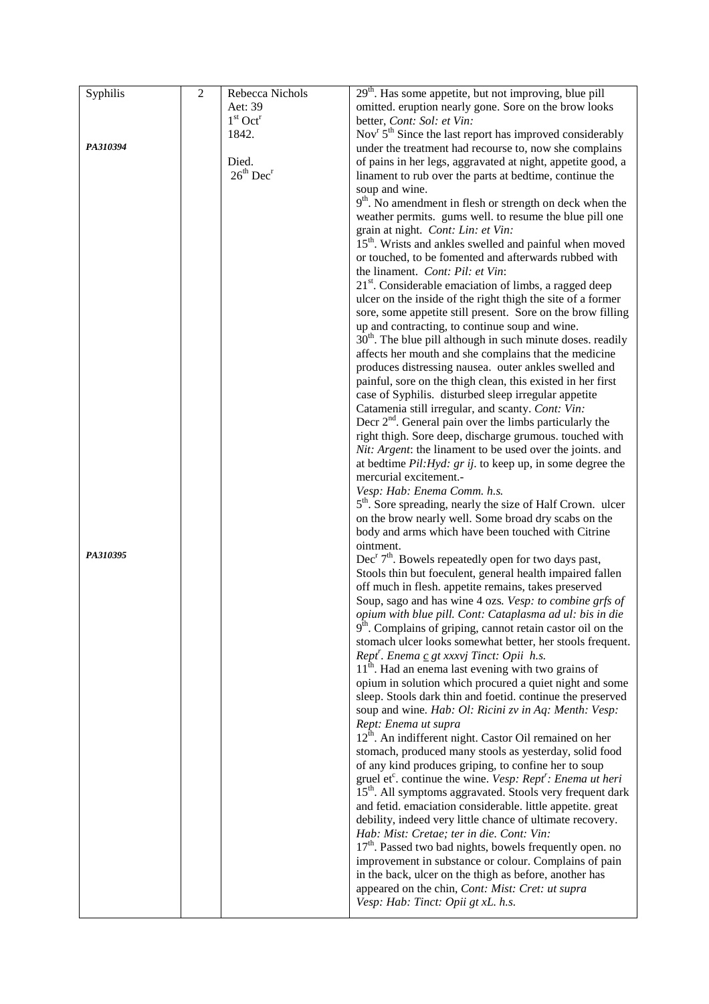| Syphilis | $\overline{2}$ | Rebecca Nichols                   | $29th$ . Has some appetite, but not improving, blue pill                           |
|----------|----------------|-----------------------------------|------------------------------------------------------------------------------------|
|          |                | Aet: 39                           | omitted. eruption nearly gone. Sore on the brow looks                              |
|          |                | $1st$ Oct <sup>r</sup>            | better, Cont: Sol: et Vin:                                                         |
|          |                | 1842.                             | Nov <sup>r</sup> 5 <sup>th</sup> Since the last report has improved considerably   |
| PA310394 |                |                                   | under the treatment had recourse to, now she complains                             |
|          |                | Died.                             | of pains in her legs, aggravated at night, appetite good, a                        |
|          |                | 26 <sup>th</sup> Dec <sup>r</sup> | linament to rub over the parts at bedtime, continue the                            |
|          |                |                                   | soup and wine.                                                                     |
|          |                |                                   | $9th$ . No amendment in flesh or strength on deck when the                         |
|          |                |                                   | weather permits. gums well. to resume the blue pill one                            |
|          |                |                                   | grain at night. Cont: Lin: et Vin:                                                 |
|          |                |                                   | 15 <sup>th</sup> . Wrists and ankles swelled and painful when moved                |
|          |                |                                   | or touched, to be fomented and afterwards rubbed with                              |
|          |                |                                   | the linament. Cont: Pil: et Vin:                                                   |
|          |                |                                   | 21 <sup>st</sup> . Considerable emaciation of limbs, a ragged deep                 |
|          |                |                                   | ulcer on the inside of the right thigh the site of a former                        |
|          |                |                                   | sore, some appetite still present. Sore on the brow filling                        |
|          |                |                                   | up and contracting, to continue soup and wine.                                     |
|          |                |                                   | $30th$ . The blue pill although in such minute doses. readily                      |
|          |                |                                   | affects her mouth and she complains that the medicine                              |
|          |                |                                   | produces distressing nausea. outer ankles swelled and                              |
|          |                |                                   | painful, sore on the thigh clean, this existed in her first                        |
|          |                |                                   | case of Syphilis. disturbed sleep irregular appetite                               |
|          |                |                                   | Catamenia still irregular, and scanty. Cont: Vin:                                  |
|          |                |                                   | Decr $2nd$ . General pain over the limbs particularly the                          |
|          |                |                                   | right thigh. Sore deep, discharge grumous. touched with                            |
|          |                |                                   | Nit: Argent: the linament to be used over the joints. and                          |
|          |                |                                   | at bedtime $Pil:Hyd: grij.$ to keep up, in some degree the                         |
|          |                |                                   | mercurial excitement.-                                                             |
|          |                |                                   | Vesp: Hab: Enema Comm. h.s.                                                        |
|          |                |                                   | 5 <sup>th</sup> . Sore spreading, nearly the size of Half Crown. ulcer             |
|          |                |                                   | on the brow nearly well. Some broad dry scabs on the                               |
|          |                |                                   | body and arms which have been touched with Citrine                                 |
|          |                |                                   | ointment.                                                                          |
| PA310395 |                |                                   | Dec <sup>r</sup> 7 <sup>th</sup> . Bowels repeatedly open for two days past,       |
|          |                |                                   | Stools thin but foeculent, general health impaired fallen                          |
|          |                |                                   | off much in flesh. appetite remains, takes preserved                               |
|          |                |                                   | Soup, sago and has wine 4 ozs. Vesp: to combine grfs of                            |
|          |                |                                   | opium with blue pill. Cont: Cataplasma ad ul: bis in die                           |
|          |                |                                   | $9th$ . Complains of griping, cannot retain castor oil on the                      |
|          |                |                                   | stomach ulcer looks somewhat better, her stools frequent.                          |
|          |                |                                   | Rept <sup>r</sup> . Enema $\underline{c}$ gt xxxvj Tinct: Opii h.s.                |
|          |                |                                   | $11th$ . Had an enema last evening with two grains of                              |
|          |                |                                   | opium in solution which procured a quiet night and some                            |
|          |                |                                   | sleep. Stools dark thin and foetid. continue the preserved                         |
|          |                |                                   | soup and wine. Hab: Ol: Ricini zv in Aq: Menth: Vesp:                              |
|          |                |                                   | Rept: Enema ut supra                                                               |
|          |                |                                   | 12 <sup>th</sup> . An indifferent night. Castor Oil remained on her                |
|          |                |                                   | stomach, produced many stools as yesterday, solid food                             |
|          |                |                                   | of any kind produces griping, to confine her to soup                               |
|          |                |                                   | gruel et <sup>c</sup> . continue the wine. Vesp: Rept <sup>r</sup> : Enema ut heri |
|          |                |                                   | 15 <sup>th</sup> . All symptoms aggravated. Stools very frequent dark              |
|          |                |                                   | and fetid. emaciation considerable. little appetite. great                         |
|          |                |                                   | debility, indeed very little chance of ultimate recovery.                          |
|          |                |                                   | Hab: Mist: Cretae; ter in die. Cont: Vin:                                          |
|          |                |                                   | $17th$ . Passed two bad nights, bowels frequently open. no                         |
|          |                |                                   | improvement in substance or colour. Complains of pain                              |
|          |                |                                   | in the back, ulcer on the thigh as before, another has                             |
|          |                |                                   | appeared on the chin, Cont: Mist: Cret: ut supra                                   |
|          |                |                                   | Vesp: Hab: Tinct: Opii gt xL. h.s.                                                 |
|          |                |                                   |                                                                                    |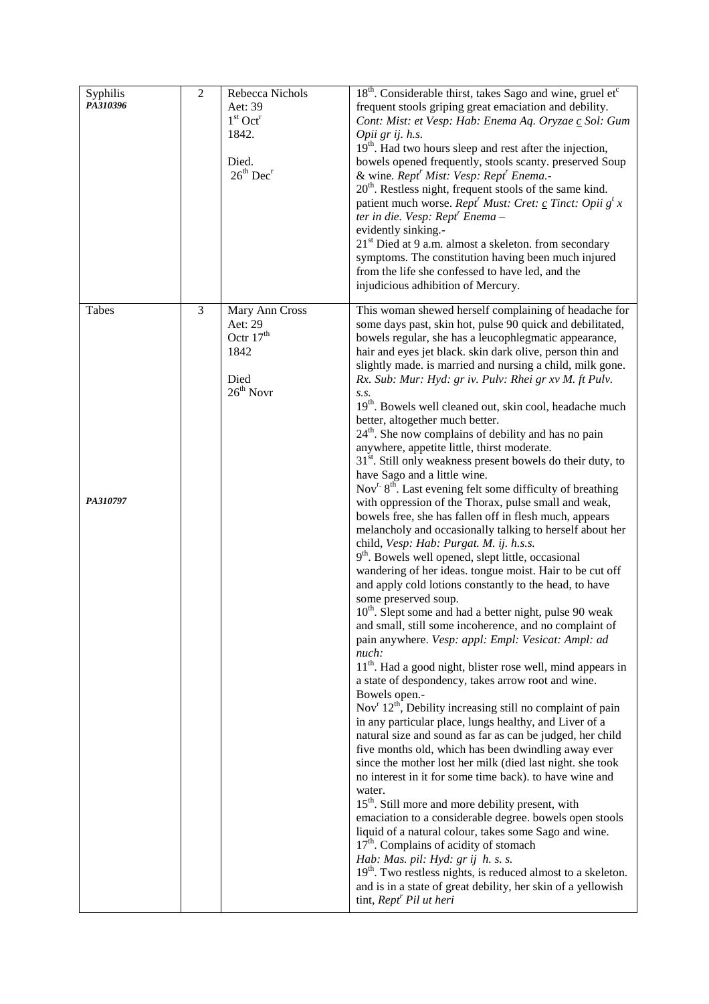| Syphilis<br>PA310396 | $\sqrt{2}$ | Rebecca Nichols<br>Aet: 39<br>$1st$ Oct <sup>r</sup><br>1842.<br>Died.<br>$26th$ Dec <sup>r</sup> | 18 <sup>th</sup> . Considerable thirst, takes Sago and wine, gruel et <sup>c</sup><br>frequent stools griping great emaciation and debility.<br>Cont: Mist: et Vesp: Hab: Enema Aq. Oryzae c Sol: Gum<br>Opii gr ij. h.s.<br>19 <sup>th</sup> . Had two hours sleep and rest after the injection,<br>bowels opened frequently, stools scanty. preserved Soup<br>& wine. Rept <sup>r</sup> Mist: Vesp: Rept <sup>r</sup> Enema.-<br>20 <sup>th</sup> . Restless night, frequent stools of the same kind.<br>patient much worse. Rept <sup>r</sup> Must: Cret: <u>c</u> Tinct: Opii g <sup>t</sup> x<br>ter in die. Vesp: Rept <sup>r</sup> Enema-<br>evidently sinking.-<br>$21st$ Died at 9 a.m. almost a skeleton. from secondary<br>symptoms. The constitution having been much injured<br>from the life she confessed to have led, and the<br>injudicious adhibition of Mercury.                                                                                                                                                                                                                                                                                                                                                                                                                                                                                                                                                                                                                                                                                                                                                                                                                                                                                                                                                                                                                                                                                                                                                                                                                                                                                                                                                                                                                                                                                                |
|----------------------|------------|---------------------------------------------------------------------------------------------------|------------------------------------------------------------------------------------------------------------------------------------------------------------------------------------------------------------------------------------------------------------------------------------------------------------------------------------------------------------------------------------------------------------------------------------------------------------------------------------------------------------------------------------------------------------------------------------------------------------------------------------------------------------------------------------------------------------------------------------------------------------------------------------------------------------------------------------------------------------------------------------------------------------------------------------------------------------------------------------------------------------------------------------------------------------------------------------------------------------------------------------------------------------------------------------------------------------------------------------------------------------------------------------------------------------------------------------------------------------------------------------------------------------------------------------------------------------------------------------------------------------------------------------------------------------------------------------------------------------------------------------------------------------------------------------------------------------------------------------------------------------------------------------------------------------------------------------------------------------------------------------------------------------------------------------------------------------------------------------------------------------------------------------------------------------------------------------------------------------------------------------------------------------------------------------------------------------------------------------------------------------------------------------------------------------------------------------------------------------------------------------|
| Tabes<br>PA310797    | 3          | Mary Ann Cross<br>Aet: 29<br>Octr 17 <sup>th</sup><br>1842<br>Died<br>$26th$ Novr                 | This woman shewed herself complaining of headache for<br>some days past, skin hot, pulse 90 quick and debilitated,<br>bowels regular, she has a leucophlegmatic appearance,<br>hair and eyes jet black. skin dark olive, person thin and<br>slightly made. is married and nursing a child, milk gone.<br>Rx. Sub: Mur: Hyd: gr iv. Pulv: Rhei gr xv M. ft Pulv.<br>S.S.<br>19 <sup>th</sup> . Bowels well cleaned out, skin cool, headache much<br>better, altogether much better.<br>$24th$ . She now complains of debility and has no pain<br>anywhere, appetite little, thirst moderate.<br>$31st$ . Still only weakness present bowels do their duty, to<br>have Sago and a little wine.<br>Nov <sup>r.</sup> 8 <sup>th</sup> . Last evening felt some difficulty of breathing<br>with oppression of the Thorax, pulse small and weak,<br>bowels free, she has fallen off in flesh much, appears<br>melancholy and occasionally talking to herself about her<br>child, Vesp: Hab: Purgat. M. ij. h.s.s.<br>9 <sup>th</sup> . Bowels well opened, slept little, occasional<br>wandering of her ideas. tongue moist. Hair to be cut off<br>and apply cold lotions constantly to the head, to have<br>some preserved soup.<br>10 <sup>th</sup> . Slept some and had a better night, pulse 90 weak<br>and small, still some incoherence, and no complaint of<br>pain anywhere. Vesp: appl: Empl: Vesicat: Ampl: ad<br>nuch:<br>11 <sup>th</sup> . Had a good night, blister rose well, mind appears in<br>a state of despondency, takes arrow root and wine.<br>Bowels open.-<br>Nov <sup>r</sup> $12th$ , Debility increasing still no complaint of pain<br>in any particular place, lungs healthy, and Liver of a<br>natural size and sound as far as can be judged, her child<br>five months old, which has been dwindling away ever<br>since the mother lost her milk (died last night. she took<br>no interest in it for some time back). to have wine and<br>water.<br>15 <sup>th</sup> . Still more and more debility present, with<br>emaciation to a considerable degree. bowels open stools<br>liquid of a natural colour, takes some Sago and wine.<br>$17th$ . Complains of acidity of stomach<br>Hab: Mas. pil: Hyd: gr ij h. s. s.<br>$19th$ . Two restless nights, is reduced almost to a skeleton.<br>and is in a state of great debility, her skin of a yellowish |
|                      |            |                                                                                                   | tint, Rept <sup>r</sup> Pil ut heri                                                                                                                                                                                                                                                                                                                                                                                                                                                                                                                                                                                                                                                                                                                                                                                                                                                                                                                                                                                                                                                                                                                                                                                                                                                                                                                                                                                                                                                                                                                                                                                                                                                                                                                                                                                                                                                                                                                                                                                                                                                                                                                                                                                                                                                                                                                                                |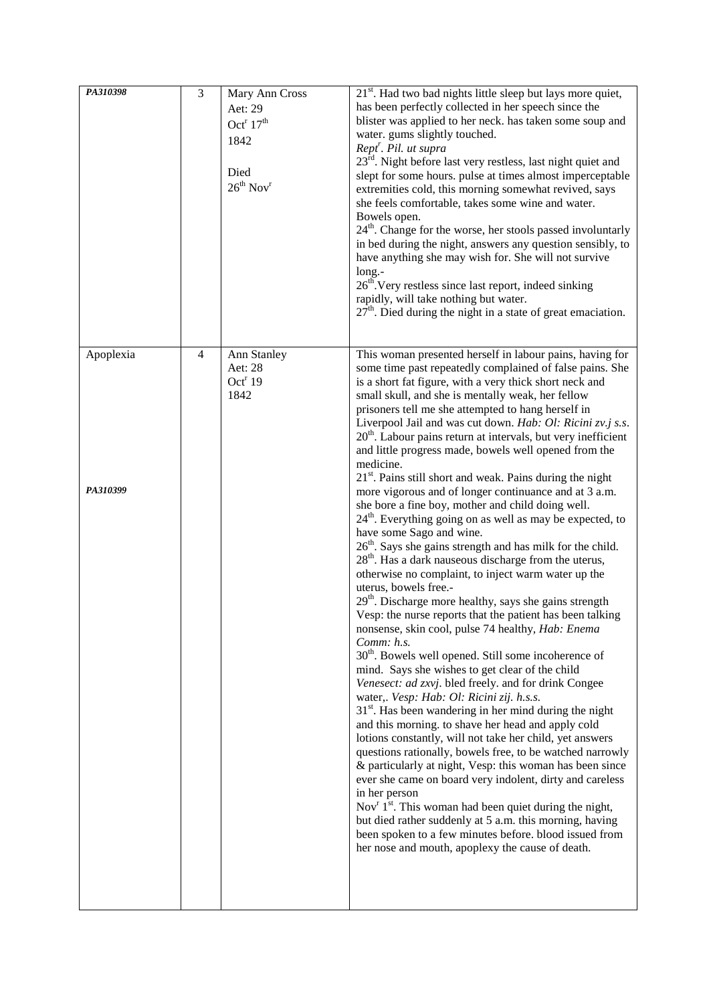| PA310398              | $\mathfrak{Z}$ | Mary Ann Cross<br>Aet: 29<br>Oct <sup>r</sup> $17th$<br>1842<br>Died<br>$26^{th}$ Nov <sup>r</sup> | 21 <sup>st</sup> . Had two bad nights little sleep but lays more quiet,<br>has been perfectly collected in her speech since the<br>blister was applied to her neck. has taken some soup and<br>water. gums slightly touched.<br>Rept <sup>r</sup> . Pil. ut supra<br>23 <sup>rd</sup> . Night before last very restless, last night quiet and<br>slept for some hours. pulse at times almost imperceptable<br>extremities cold, this morning somewhat revived, says<br>she feels comfortable, takes some wine and water.<br>Bowels open.<br>$24th$ . Change for the worse, her stools passed involuntarly<br>in bed during the night, answers any question sensibly, to<br>have anything she may wish for. She will not survive<br>long.-<br>$26th$ . Very restless since last report, indeed sinking<br>rapidly, will take nothing but water.<br>$27th$ . Died during the night in a state of great emaciation.                                                                                                                                                                                                                                                                                                                                                                                                                                                                                                                                                                                                                                                                                                                                                                                                                                                                                                                                                                                                                                                                                                                                                                          |
|-----------------------|----------------|----------------------------------------------------------------------------------------------------|-------------------------------------------------------------------------------------------------------------------------------------------------------------------------------------------------------------------------------------------------------------------------------------------------------------------------------------------------------------------------------------------------------------------------------------------------------------------------------------------------------------------------------------------------------------------------------------------------------------------------------------------------------------------------------------------------------------------------------------------------------------------------------------------------------------------------------------------------------------------------------------------------------------------------------------------------------------------------------------------------------------------------------------------------------------------------------------------------------------------------------------------------------------------------------------------------------------------------------------------------------------------------------------------------------------------------------------------------------------------------------------------------------------------------------------------------------------------------------------------------------------------------------------------------------------------------------------------------------------------------------------------------------------------------------------------------------------------------------------------------------------------------------------------------------------------------------------------------------------------------------------------------------------------------------------------------------------------------------------------------------------------------------------------------------------------------------------------|
| Apoplexia<br>PA310399 | $\overline{4}$ | Ann Stanley<br>Aet: 28<br>Oct <sup>r</sup> 19<br>1842                                              | This woman presented herself in labour pains, having for<br>some time past repeatedly complained of false pains. She<br>is a short fat figure, with a very thick short neck and<br>small skull, and she is mentally weak, her fellow<br>prisoners tell me she attempted to hang herself in<br>Liverpool Jail and was cut down. Hab: Ol: Ricini zv.j s.s.<br>$20th$ . Labour pains return at intervals, but very inefficient<br>and little progress made, bowels well opened from the<br>medicine.<br>21 <sup>st</sup> . Pains still short and weak. Pains during the night<br>more vigorous and of longer continuance and at 3 a.m.<br>she bore a fine boy, mother and child doing well.<br>24 <sup>th</sup> . Everything going on as well as may be expected, to<br>have some Sago and wine.<br>26 <sup>th</sup> . Says she gains strength and has milk for the child.<br>28 <sup>th</sup> . Has a dark nauseous discharge from the uterus,<br>otherwise no complaint, to inject warm water up the<br>uterus, bowels free.-<br>$29th$ . Discharge more healthy, says she gains strength<br>Vesp: the nurse reports that the patient has been talking<br>nonsense, skin cool, pulse 74 healthy, Hab: Enema<br>Comm: h.s.<br>$30th$ . Bowels well opened. Still some incoherence of<br>mind. Says she wishes to get clear of the child<br>Venesect: ad zxvj. bled freely. and for drink Congee<br>water,. Vesp: Hab: Ol: Ricini zij. h.s.s.<br>$31st$ . Has been wandering in her mind during the night<br>and this morning. to shave her head and apply cold<br>lotions constantly, will not take her child, yet answers<br>questions rationally, bowels free, to be watched narrowly<br>& particularly at night, Vesp: this woman has been since<br>ever she came on board very indolent, dirty and careless<br>in her person<br>Nov <sup>r</sup> 1 <sup>st</sup> . This woman had been quiet during the night,<br>but died rather suddenly at 5 a.m. this morning, having<br>been spoken to a few minutes before. blood issued from<br>her nose and mouth, apoplexy the cause of death. |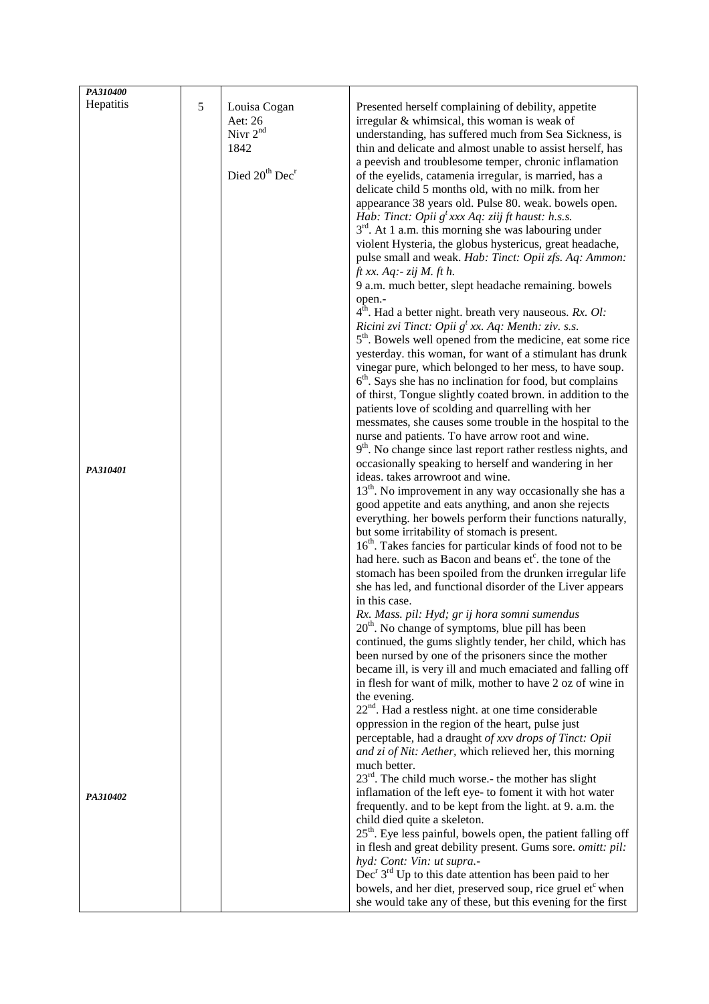| PA310400  |   |                                        |                                                                           |
|-----------|---|----------------------------------------|---------------------------------------------------------------------------|
| Hepatitis | 5 | Louisa Cogan                           | Presented herself complaining of debility, appetite                       |
|           |   | Aet: 26                                | irregular & whimsical, this woman is weak of                              |
|           |   | Nivr $2^{nd}$                          | understanding, has suffered much from Sea Sickness, is                    |
|           |   | 1842                                   | thin and delicate and almost unable to assist herself, has                |
|           |   |                                        |                                                                           |
|           |   | Died 20 <sup>th</sup> Dec <sup>r</sup> | a peevish and troublesome temper, chronic inflamation                     |
|           |   |                                        | of the eyelids, catamenia irregular, is married, has a                    |
|           |   |                                        | delicate child 5 months old, with no milk. from her                       |
|           |   |                                        | appearance 38 years old. Pulse 80. weak. bowels open.                     |
|           |   |                                        | Hab: Tinct: Opii $g^t$ xxx Aq: ziij ft haust: h.s.s.                      |
|           |   |                                        | $3rd$ . At 1 a.m. this morning she was labouring under                    |
|           |   |                                        | violent Hysteria, the globus hystericus, great headache,                  |
|           |   |                                        | pulse small and weak. Hab: Tinct: Opii zfs. Aq: Ammon:                    |
|           |   |                                        | $ft$ xx. $Aq$ : $zij$ M. $ft$ h.                                          |
|           |   |                                        | 9 a.m. much better, slept headache remaining. bowels                      |
|           |   |                                        | open.-                                                                    |
|           |   |                                        | $4în$ . Had a better night. breath very nauseous. Rx. Ol:                 |
|           |   |                                        | Ricini zvi Tinct: Opii $g^t$ xx. Aq: Menth: ziv. s.s.                     |
|           |   |                                        | 5 <sup>th</sup> . Bowels well opened from the medicine, eat some rice     |
|           |   |                                        | yesterday. this woman, for want of a stimulant has drunk                  |
|           |   |                                        | vinegar pure, which belonged to her mess, to have soup.                   |
|           |   |                                        | $6th$ . Says she has no inclination for food, but complains               |
|           |   |                                        | of thirst, Tongue slightly coated brown. in addition to the               |
|           |   |                                        | patients love of scolding and quarrelling with her                        |
|           |   |                                        | messmates, she causes some trouble in the hospital to the                 |
|           |   |                                        | nurse and patients. To have arrow root and wine.                          |
|           |   |                                        | 9 <sup>th</sup> . No change since last report rather restless nights, and |
| PA310401  |   |                                        | occasionally speaking to herself and wandering in her                     |
|           |   |                                        | ideas. takes arrowroot and wine.                                          |
|           |   |                                        | 13 <sup>th</sup> . No improvement in any way occasionally she has a       |
|           |   |                                        | good appetite and eats anything, and anon she rejects                     |
|           |   |                                        | everything. her bowels perform their functions naturally,                 |
|           |   |                                        | but some irritability of stomach is present.                              |
|           |   |                                        | 16 <sup>th</sup> . Takes fancies for particular kinds of food not to be   |
|           |   |                                        | had here, such as Bacon and beans et <sup>c</sup> , the tone of the       |
|           |   |                                        | stomach has been spoiled from the drunken irregular life                  |
|           |   |                                        | she has led, and functional disorder of the Liver appears                 |
|           |   |                                        | in this case.                                                             |
|           |   |                                        | Rx. Mass. pil: Hyd; gr ij hora somni sumendus                             |
|           |   |                                        | $20th$ . No change of symptoms, blue pill has been                        |
|           |   |                                        | continued, the gums slightly tender, her child, which has                 |
|           |   |                                        | been nursed by one of the prisoners since the mother                      |
|           |   |                                        | became ill, is very ill and much emaciated and falling off                |
|           |   |                                        | in flesh for want of milk, mother to have 2 oz of wine in                 |
|           |   |                                        | the evening.                                                              |
|           |   |                                        | 22 <sup>nd</sup> . Had a restless night. at one time considerable         |
|           |   |                                        | oppression in the region of the heart, pulse just                         |
|           |   |                                        | perceptable, had a draught of xxv drops of Tinct: Opii                    |
|           |   |                                        | and zi of Nit: Aether, which relieved her, this morning                   |
|           |   |                                        | much better.                                                              |
|           |   |                                        | $23^{rd}$ . The child much worse.- the mother has slight                  |
| PA310402  |   |                                        | inflamation of the left eye- to foment it with hot water                  |
|           |   |                                        | frequently. and to be kept from the light. at 9. a.m. the                 |
|           |   |                                        | child died quite a skeleton.                                              |
|           |   |                                        | 25 <sup>th</sup> . Eye less painful, bowels open, the patient falling off |
|           |   |                                        | in flesh and great debility present. Gums sore. omitt: pil:               |
|           |   |                                        | hyd: Cont: Vin: ut supra.-                                                |
|           |   |                                        | $Decr 3rd Up$ to this date attention has been paid to her                 |
|           |   |                                        | bowels, and her diet, preserved soup, rice gruel etc when                 |
|           |   |                                        | she would take any of these, but this evening for the first               |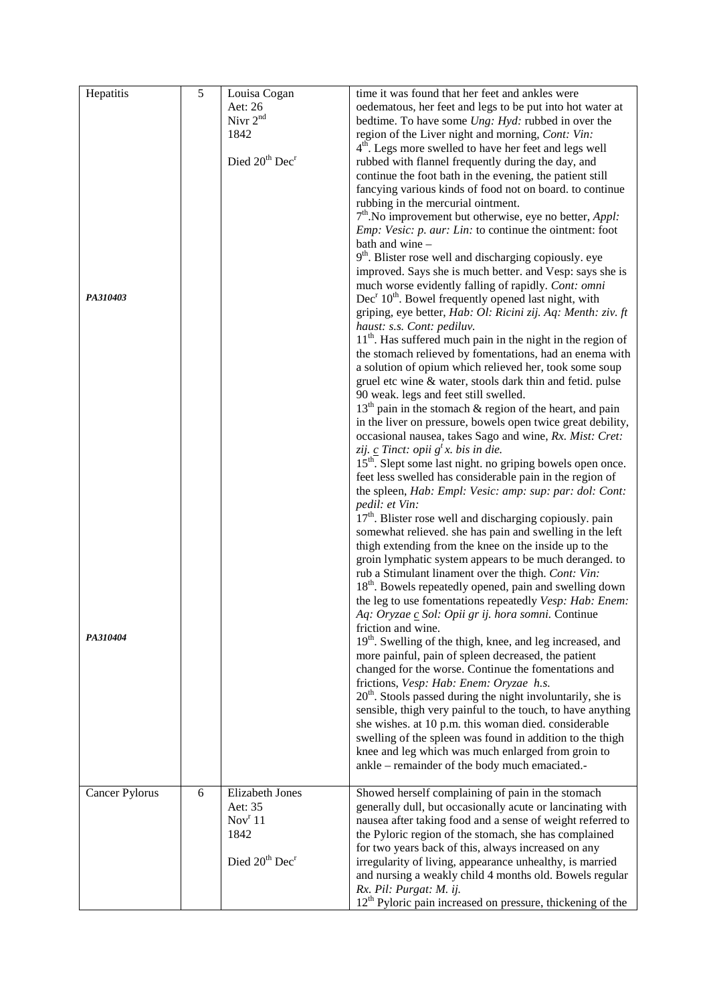| Hepatitis             | $\sqrt{5}$ | Louisa Cogan                           | time it was found that her feet and ankles were                           |
|-----------------------|------------|----------------------------------------|---------------------------------------------------------------------------|
|                       |            | Aet: 26                                | oedematous, her feet and legs to be put into hot water at                 |
|                       |            | Nivr $2^{nd}$                          | bedtime. To have some Ung: Hyd: rubbed in over the                        |
|                       |            | 1842                                   | region of the Liver night and morning, Cont: Vin:                         |
|                       |            |                                        | 4 <sup>th</sup> . Legs more swelled to have her feet and legs well        |
|                       |            | Died 20 <sup>th</sup> Dec <sup>r</sup> | rubbed with flannel frequently during the day, and                        |
|                       |            |                                        | continue the foot bath in the evening, the patient still                  |
|                       |            |                                        | fancying various kinds of food not on board. to continue                  |
|                       |            |                                        | rubbing in the mercurial ointment.                                        |
|                       |            |                                        | $7th$ . No improvement but otherwise, eye no better, <i>Appl</i> :        |
|                       |            |                                        | <i>Emp: Vesic: p. aur: Lin: to continue the ointment: foot</i>            |
|                       |            |                                        | bath and wine -                                                           |
|                       |            |                                        | 9 <sup>th</sup> . Blister rose well and discharging copiously. eye        |
|                       |            |                                        | improved. Says she is much better. and Vesp: says she is                  |
|                       |            |                                        | much worse evidently falling of rapidly. Cont: omni                       |
| PA310403              |            |                                        | $Decr 10th$ . Bowel frequently opened last night, with                    |
|                       |            |                                        | griping, eye better, Hab: Ol: Ricini zij. Aq: Menth: ziv. ft              |
|                       |            |                                        | haust: s.s. Cont: pediluv.                                                |
|                       |            |                                        | $11th$ . Has suffered much pain in the night in the region of             |
|                       |            |                                        | the stomach relieved by fomentations, had an enema with                   |
|                       |            |                                        | a solution of opium which relieved her, took some soup                    |
|                       |            |                                        | gruel etc wine & water, stools dark thin and fetid. pulse                 |
|                       |            |                                        | 90 weak. legs and feet still swelled.                                     |
|                       |            |                                        | $13th$ pain in the stomach & region of the heart, and pain                |
|                       |            |                                        | in the liver on pressure, bowels open twice great debility,               |
|                       |            |                                        | occasional nausea, takes Sago and wine, Rx. Mist: Cret:                   |
|                       |            |                                        | zij. $\underline{c}$ Tinct: opii $g^t x$ . bis in die.                    |
|                       |            |                                        | 15 <sup>th</sup> . Slept some last night. no griping bowels open once.    |
|                       |            |                                        | feet less swelled has considerable pain in the region of                  |
|                       |            |                                        | the spleen, Hab: Empl: Vesic: amp: sup: par: dol: Cont:<br>pedil: et Vin: |
|                       |            |                                        | $17th$ . Blister rose well and discharging copiously. pain                |
|                       |            |                                        | somewhat relieved. she has pain and swelling in the left                  |
|                       |            |                                        | thigh extending from the knee on the inside up to the                     |
|                       |            |                                        | groin lymphatic system appears to be much deranged. to                    |
|                       |            |                                        | rub a Stimulant linament over the thigh. Cont: Vin:                       |
|                       |            |                                        | 18 <sup>th</sup> . Bowels repeatedly opened, pain and swelling down       |
|                       |            |                                        | the leg to use fomentations repeatedly Vesp: Hab: Enem:                   |
|                       |            |                                        | Aq: Oryzae c Sol: Opii gr ij. hora somni. Continue                        |
|                       |            |                                        | friction and wine.                                                        |
| PA310404              |            |                                        | 19 <sup>th</sup> . Swelling of the thigh, knee, and leg increased, and    |
|                       |            |                                        | more painful, pain of spleen decreased, the patient                       |
|                       |            |                                        | changed for the worse. Continue the fomentations and                      |
|                       |            |                                        | frictions, Vesp: Hab: Enem: Oryzae h.s.                                   |
|                       |            |                                        | $20th$ . Stools passed during the night involuntarily, she is             |
|                       |            |                                        | sensible, thigh very painful to the touch, to have anything               |
|                       |            |                                        | she wishes. at 10 p.m. this woman died. considerable                      |
|                       |            |                                        | swelling of the spleen was found in addition to the thigh                 |
|                       |            |                                        | knee and leg which was much enlarged from groin to                        |
|                       |            |                                        | ankle – remainder of the body much emaciated.-                            |
| <b>Cancer Pylorus</b> | 6          | Elizabeth Jones                        | Showed herself complaining of pain in the stomach                         |
|                       |            | Aet: 35                                | generally dull, but occasionally acute or lancinating with                |
|                       |            | Nov <sup>r</sup> 11                    | nausea after taking food and a sense of weight referred to                |
|                       |            | 1842                                   | the Pyloric region of the stomach, she has complained                     |
|                       |            |                                        | for two years back of this, always increased on any                       |
|                       |            | Died 20 <sup>th</sup> Dec <sup>r</sup> | irregularity of living, appearance unhealthy, is married                  |
|                       |            |                                        | and nursing a weakly child 4 months old. Bowels regular                   |
|                       |            |                                        | Rx. Pil: Purgat: M. ij.                                                   |
|                       |            |                                        | $12th$ Pyloric pain increased on pressure, thickening of the              |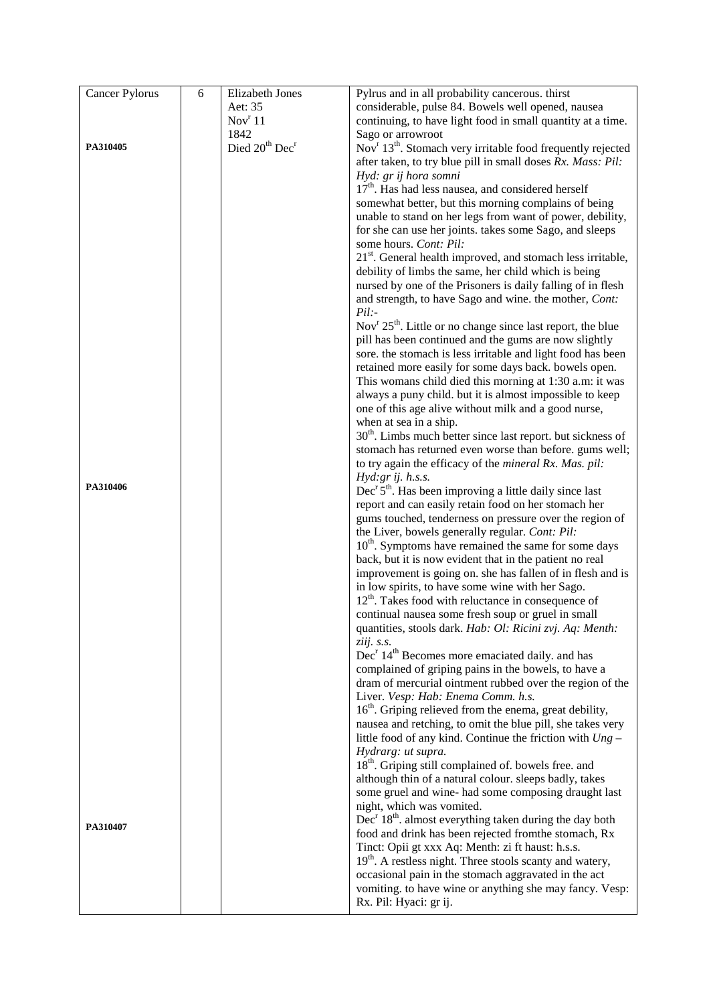| Cancer Pylorus | 6 | Elizabeth Jones                        | Pylrus and in all probability cancerous. thirst                                                                            |
|----------------|---|----------------------------------------|----------------------------------------------------------------------------------------------------------------------------|
|                |   | Aet: 35                                | considerable, pulse 84. Bowels well opened, nausea                                                                         |
|                |   | Nov <sup>r</sup> 11                    | continuing, to have light food in small quantity at a time.                                                                |
|                |   | 1842                                   | Sago or arrowroot                                                                                                          |
| PA310405       |   | Died 20 <sup>th</sup> Dec <sup>r</sup> | Nov <sup>r</sup> 13 <sup>th</sup> . Stomach very irritable food frequently rejected                                        |
|                |   |                                        | after taken, to try blue pill in small doses Rx. Mass: Pil:                                                                |
|                |   |                                        | Hyd: gr ij hora somni                                                                                                      |
|                |   |                                        | 17 <sup>th</sup> . Has had less nausea, and considered herself                                                             |
|                |   |                                        | somewhat better, but this morning complains of being                                                                       |
|                |   |                                        | unable to stand on her legs from want of power, debility,                                                                  |
|                |   |                                        | for she can use her joints. takes some Sago, and sleeps                                                                    |
|                |   |                                        | some hours. Cont: Pil:                                                                                                     |
|                |   |                                        | $21st$ . General health improved, and stomach less irritable,                                                              |
|                |   |                                        | debility of limbs the same, her child which is being                                                                       |
|                |   |                                        | nursed by one of the Prisoners is daily falling of in flesh                                                                |
|                |   |                                        | and strength, to have Sago and wine. the mother, Cont:                                                                     |
|                |   |                                        | $Pil$ :-                                                                                                                   |
|                |   |                                        | Nov <sup>r</sup> $25th$ . Little or no change since last report, the blue                                                  |
|                |   |                                        |                                                                                                                            |
|                |   |                                        | pill has been continued and the gums are now slightly                                                                      |
|                |   |                                        | sore, the stomach is less irritable and light food has been                                                                |
|                |   |                                        | retained more easily for some days back. bowels open.                                                                      |
|                |   |                                        | This womans child died this morning at 1:30 a.m: it was                                                                    |
|                |   |                                        | always a puny child. but it is almost impossible to keep                                                                   |
|                |   |                                        | one of this age alive without milk and a good nurse,                                                                       |
|                |   |                                        | when at sea in a ship.                                                                                                     |
|                |   |                                        | 30 <sup>th</sup> . Limbs much better since last report. but sickness of                                                    |
|                |   |                                        | stomach has returned even worse than before. gums well;                                                                    |
|                |   |                                        | to try again the efficacy of the mineral Rx. Mas. pil:                                                                     |
| PA310406       |   |                                        | $Hyd:gr$ ij. h.s.s.                                                                                                        |
|                |   |                                        | Dec <sup>r</sup> $5th$ . Has been improving a little daily since last                                                      |
|                |   |                                        | report and can easily retain food on her stomach her                                                                       |
|                |   |                                        | gums touched, tenderness on pressure over the region of                                                                    |
|                |   |                                        | the Liver, bowels generally regular. Cont: Pil:                                                                            |
|                |   |                                        | 10 <sup>th</sup> . Symptoms have remained the same for some days                                                           |
|                |   |                                        | back, but it is now evident that in the patient no real                                                                    |
|                |   |                                        | improvement is going on. she has fallen of in flesh and is                                                                 |
|                |   |                                        | in low spirits, to have some wine with her Sago.                                                                           |
|                |   |                                        | $12th$ . Takes food with reluctance in consequence of                                                                      |
|                |   |                                        | continual nausea some fresh soup or gruel in small                                                                         |
|                |   |                                        | quantities, stools dark. Hab: Ol: Ricini zvj. Aq: Menth:                                                                   |
|                |   |                                        | ziij. s.s.<br>Dec <sup>r</sup> 14 <sup>th</sup> Becomes more emaciated daily. and has                                      |
|                |   |                                        | complained of griping pains in the bowels, to have a                                                                       |
|                |   |                                        | dram of mercurial ointment rubbed over the region of the                                                                   |
|                |   |                                        | Liver. Vesp: Hab: Enema Comm. h.s.                                                                                         |
|                |   |                                        | 16 <sup>th</sup> . Griping relieved from the enema, great debility,                                                        |
|                |   |                                        | nausea and retching, to omit the blue pill, she takes very                                                                 |
|                |   |                                        | little food of any kind. Continue the friction with $Ung -$                                                                |
|                |   |                                        | Hydrarg: ut supra.                                                                                                         |
|                |   |                                        |                                                                                                                            |
|                |   |                                        | 18 <sup>th</sup> . Griping still complained of. bowels free. and<br>although thin of a natural colour. sleeps badly, takes |
|                |   |                                        | some gruel and wine- had some composing draught last                                                                       |
|                |   |                                        | night, which was vomited.                                                                                                  |
|                |   |                                        | $Decr 18th$ . almost everything taken during the day both                                                                  |
| PA310407       |   |                                        | food and drink has been rejected from the stomach, Rx                                                                      |
|                |   |                                        | Tinct: Opii gt xxx Aq: Menth: zi ft haust: h.s.s.                                                                          |
|                |   |                                        | 19 <sup>th</sup> . A restless night. Three stools scanty and watery,                                                       |
|                |   |                                        |                                                                                                                            |
|                |   |                                        | occasional pain in the stomach aggravated in the act                                                                       |
|                |   |                                        | vomiting. to have wine or anything she may fancy. Vesp:                                                                    |
|                |   |                                        | Rx. Pil: Hyaci: gr ij.                                                                                                     |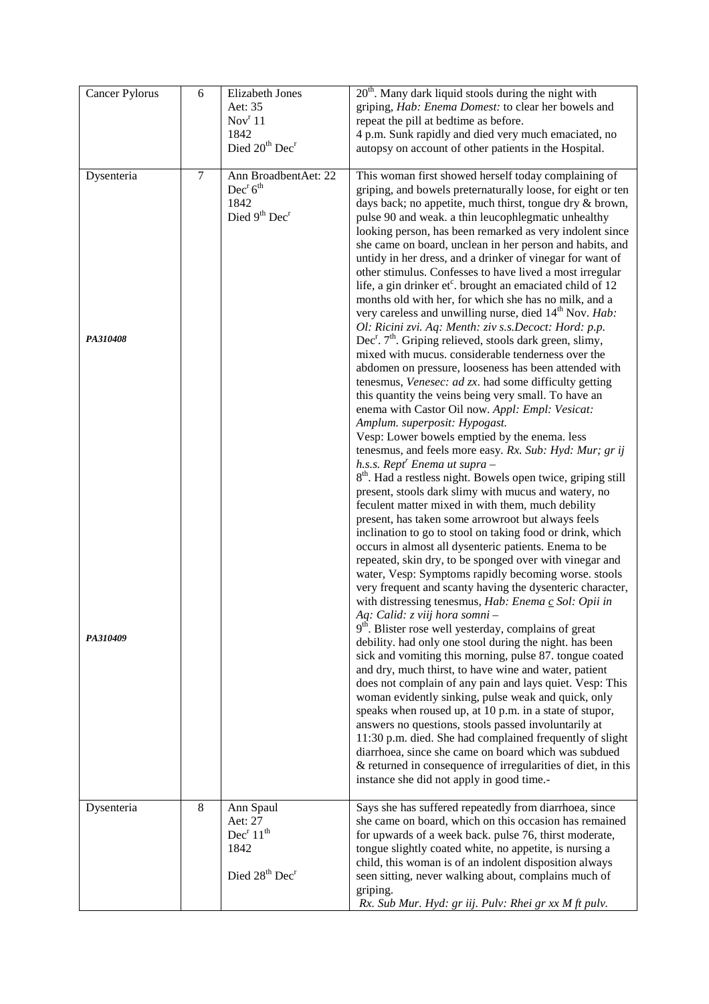| Cancer Pylorus | $\sqrt{6}$ | Elizabeth Jones                                          | 20 <sup>th</sup> . Many dark liquid stools during the night with                                                                       |
|----------------|------------|----------------------------------------------------------|----------------------------------------------------------------------------------------------------------------------------------------|
|                |            | Aet: 35<br>Nov <sup>r</sup> 11                           | griping, Hab: Enema Domest: to clear her bowels and<br>repeat the pill at bedtime as before.                                           |
|                |            | 1842                                                     | 4 p.m. Sunk rapidly and died very much emaciated, no                                                                                   |
|                |            | Died 20 <sup>th</sup> Dec <sup>r</sup>                   | autopsy on account of other patients in the Hospital.                                                                                  |
|                |            |                                                          |                                                                                                                                        |
| Dysenteria     | $\tau$     | Ann BroadbentAet: 22<br>Dec <sup>r</sup> 6 <sup>th</sup> | This woman first showed herself today complaining of                                                                                   |
|                |            | 1842                                                     | griping, and bowels preternaturally loose, for eight or ten<br>days back; no appetite, much thirst, tongue dry & brown,                |
|                |            | Died 9 <sup>th</sup> Dec <sup>r</sup>                    | pulse 90 and weak. a thin leucophlegmatic unhealthy                                                                                    |
|                |            |                                                          | looking person, has been remarked as very indolent since                                                                               |
|                |            |                                                          | she came on board, unclean in her person and habits, and                                                                               |
|                |            |                                                          | untidy in her dress, and a drinker of vinegar for want of                                                                              |
|                |            |                                                          | other stimulus. Confesses to have lived a most irregular<br>life, a gin drinker et <sup>c</sup> . brought an emaciated child of 12     |
|                |            |                                                          | months old with her, for which she has no milk, and a                                                                                  |
|                |            |                                                          | very careless and unwilling nurse, died 14 <sup>th</sup> Nov. Hab:                                                                     |
|                |            |                                                          | Ol: Ricini zvi. Aq: Menth: ziv s.s.Decoct: Hord: p.p.                                                                                  |
| PA310408       |            |                                                          | Dec <sup>r</sup> . 7 <sup>th</sup> . Griping relieved, stools dark green, slimy,<br>mixed with mucus. considerable tenderness over the |
|                |            |                                                          | abdomen on pressure, looseness has been attended with                                                                                  |
|                |            |                                                          | tenesmus, Venesec: ad zx. had some difficulty getting                                                                                  |
|                |            |                                                          | this quantity the veins being very small. To have an                                                                                   |
|                |            |                                                          | enema with Castor Oil now. Appl: Empl: Vesicat:<br>Amplum. superposit: Hypogast.                                                       |
|                |            |                                                          | Vesp: Lower bowels emptied by the enema. less                                                                                          |
|                |            |                                                          | tenesmus, and feels more easy. Rx. Sub: Hyd: Mur; gr ij                                                                                |
|                |            |                                                          | h.s.s. Rept <sup>r</sup> Enema ut supra -                                                                                              |
|                |            |                                                          | 8 <sup>th</sup> . Had a restless night. Bowels open twice, griping still                                                               |
|                |            |                                                          | present, stools dark slimy with mucus and watery, no<br>feculent matter mixed in with them, much debility                              |
|                |            |                                                          | present, has taken some arrowroot but always feels                                                                                     |
|                |            |                                                          | inclination to go to stool on taking food or drink, which                                                                              |
|                |            |                                                          | occurs in almost all dysenteric patients. Enema to be                                                                                  |
|                |            |                                                          | repeated, skin dry, to be sponged over with vinegar and<br>water, Vesp: Symptoms rapidly becoming worse. stools                        |
|                |            |                                                          | very frequent and scanty having the dysenteric character,                                                                              |
|                |            |                                                          | with distressing tenesmus, Hab: Enema c Sol: Opii in                                                                                   |
|                |            |                                                          | Aq: Calid: z viij hora somni -<br>9 <sup>th</sup> . Blister rose well yesterday, complains of great                                    |
| PA310409       |            |                                                          | debility. had only one stool during the night. has been                                                                                |
|                |            |                                                          | sick and vomiting this morning, pulse 87. tongue coated                                                                                |
|                |            |                                                          | and dry, much thirst, to have wine and water, patient                                                                                  |
|                |            |                                                          | does not complain of any pain and lays quiet. Vesp: This<br>woman evidently sinking, pulse weak and quick, only                        |
|                |            |                                                          | speaks when roused up, at 10 p.m. in a state of stupor,                                                                                |
|                |            |                                                          | answers no questions, stools passed involuntarily at                                                                                   |
|                |            |                                                          | 11:30 p.m. died. She had complained frequently of slight                                                                               |
|                |            |                                                          | diarrhoea, since she came on board which was subdued                                                                                   |
|                |            |                                                          | & returned in consequence of irregularities of diet, in this<br>instance she did not apply in good time.-                              |
|                |            |                                                          |                                                                                                                                        |
| Dysenteria     | 8          | Ann Spaul                                                | Says she has suffered repeatedly from diarrhoea, since                                                                                 |
|                |            | Aet: 27<br>Dec <sup>r</sup> 11 <sup>th</sup>             | she came on board, which on this occasion has remained                                                                                 |
|                |            | 1842                                                     | for upwards of a week back. pulse 76, thirst moderate,<br>tongue slightly coated white, no appetite, is nursing a                      |
|                |            |                                                          | child, this woman is of an indolent disposition always                                                                                 |
|                |            | Died 28 <sup>th</sup> Dec <sup>r</sup>                   | seen sitting, never walking about, complains much of                                                                                   |
|                |            |                                                          | griping.                                                                                                                               |
|                |            |                                                          | Rx. Sub Mur. Hyd: gr iij. Pulv: Rhei gr xx M ft pulv.                                                                                  |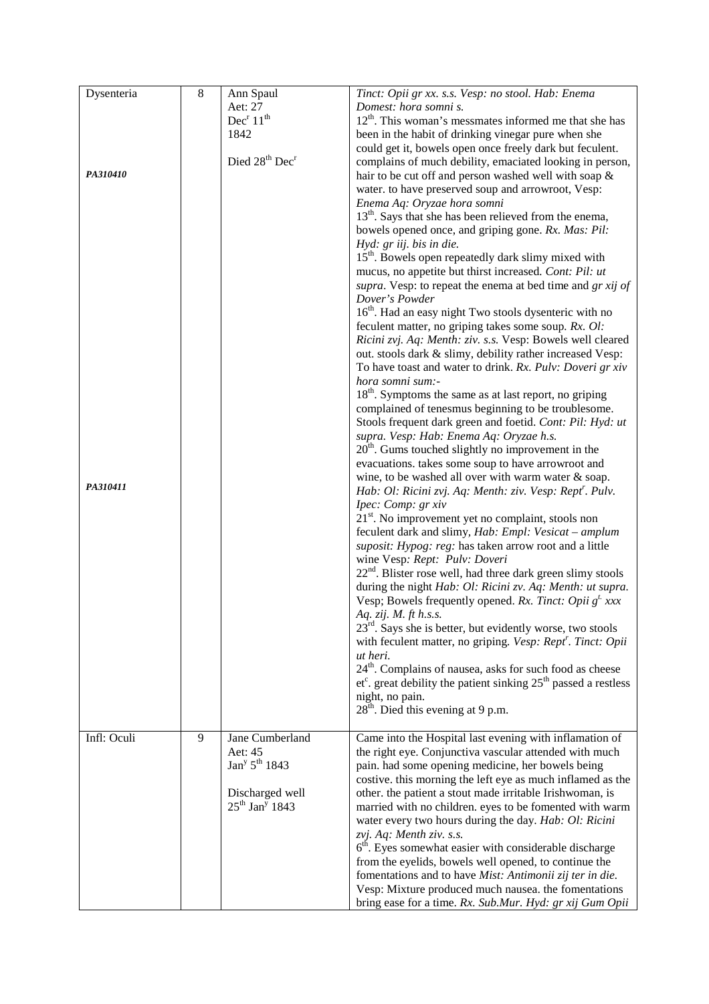| Dysenteria  | $\,8\,$ | Ann Spaul                              | Tinct: Opii gr xx. s.s. Vesp: no stool. Hab: Enema                      |
|-------------|---------|----------------------------------------|-------------------------------------------------------------------------|
|             |         | Aet: 27                                | Domest: hora somni s.                                                   |
|             |         | Dec <sup>r</sup> 11 <sup>th</sup>      | $12th$ . This woman's messmates informed me that she has                |
|             |         | 1842                                   | been in the habit of drinking vinegar pure when she                     |
|             |         |                                        | could get it, bowels open once freely dark but feculent.                |
|             |         | Died 28 <sup>th</sup> Dec <sup>r</sup> | complains of much debility, emaciated looking in person,                |
| PA310410    |         |                                        | hair to be cut off and person washed well with soap &                   |
|             |         |                                        | water. to have preserved soup and arrowroot, Vesp:                      |
|             |         |                                        | Enema Aq: Oryzae hora somni                                             |
|             |         |                                        | 13 <sup>th</sup> . Says that she has been relieved from the enema,      |
|             |         |                                        | bowels opened once, and griping gone. Rx. Mas: Pil:                     |
|             |         |                                        | Hyd: gr iij. bis in die.                                                |
|             |         |                                        | 15 <sup>th</sup> . Bowels open repeatedly dark slimy mixed with         |
|             |         |                                        | mucus, no appetite but thirst increased. Cont: Pil: ut                  |
|             |         |                                        | supra. Vesp: to repeat the enema at bed time and gr xij of              |
|             |         |                                        | Dover's Powder                                                          |
|             |         |                                        | 16 <sup>th</sup> . Had an easy night Two stools dysenteric with no      |
|             |         |                                        | feculent matter, no griping takes some soup. Rx. Ol:                    |
|             |         |                                        | Ricini zvj. Aq: Menth: ziv. s.s. Vesp: Bowels well cleared              |
|             |         |                                        | out. stools dark & slimy, debility rather increased Vesp:               |
|             |         |                                        | To have toast and water to drink. Rx. Pulv: Doveri gr xiv               |
|             |         |                                        | hora somni sum:-                                                        |
|             |         |                                        | $18th$ . Symptoms the same as at last report, no griping                |
|             |         |                                        | complained of tenesmus beginning to be troublesome.                     |
|             |         |                                        | Stools frequent dark green and foetid. Cont: Pil: Hyd: ut               |
|             |         |                                        | supra. Vesp: Hab: Enema Aq: Oryzae h.s.                                 |
|             |         |                                        | $20th$ . Gums touched slightly no improvement in the                    |
|             |         |                                        | evacuations. takes some soup to have arrowroot and                      |
|             |         |                                        | wine, to be washed all over with warm water & soap.                     |
| PA310411    |         |                                        | Hab: Ol: Ricini zvj. Aq: Menth: ziv. Vesp: Rept'. Pulv.                 |
|             |         |                                        | Ipec: Comp: gr xiv                                                      |
|             |         |                                        | $21st$ . No improvement yet no complaint, stools non                    |
|             |         |                                        | feculent dark and slimy, Hab: Empl: Vesicat - amplum                    |
|             |         |                                        | suposit: Hypog: reg: has taken arrow root and a little                  |
|             |         |                                        | wine Vesp: Rept: Pulv: Doveri                                           |
|             |         |                                        | $22nd$ . Blister rose well, had three dark green slimy stools           |
|             |         |                                        | during the night Hab: Ol: Ricini zv. Aq: Menth: ut supra.               |
|             |         |                                        | Vesp; Bowels frequently opened. Rx. Tinct: Opii $g^t$ xxx               |
|             |         |                                        | Aq. zij. $M$ . ft $h$ .s.s.                                             |
|             |         |                                        | $23^{rd}$ . Says she is better, but evidently worse, two stools         |
|             |         |                                        | with feculent matter, no griping. Vesp: Rept <sup>r</sup> . Tinct: Opii |
|             |         |                                        | ut heri.                                                                |
|             |         |                                        | 24 <sup>th</sup> . Complains of nausea, asks for such food as cheese    |
|             |         |                                        | $et^c$ . great debility the patient sinking $25th$ passed a restless    |
|             |         |                                        | night, no pain.                                                         |
|             |         |                                        | $28th$ . Died this evening at 9 p.m.                                    |
|             |         |                                        |                                                                         |
| Infl: Oculi | 9       | Jane Cumberland                        | Came into the Hospital last evening with inflamation of                 |
|             |         | Aet: 45                                | the right eye. Conjunctiva vascular attended with much                  |
|             |         | Jan <sup>y</sup> $5^{th}$ 1843         | pain. had some opening medicine, her bowels being                       |
|             |         |                                        | costive. this morning the left eye as much inflamed as the              |
|             |         | Discharged well                        | other, the patient a stout made irritable Irishwoman, is                |
|             |         | $25^{th}$ Jan <sup>y</sup> 1843        | married with no children. eyes to be fomented with warm                 |
|             |         |                                        | water every two hours during the day. Hab: Ol: Ricini                   |
|             |         |                                        | zvj. Aq: Menth ziv. s.s.                                                |
|             |         |                                        | $6th$ . Eyes somewhat easier with considerable discharge                |
|             |         |                                        | from the eyelids, bowels well opened, to continue the                   |
|             |         |                                        | fomentations and to have Mist: Antimonii zij ter in die.                |
|             |         |                                        | Vesp: Mixture produced much nausea. the fomentations                    |
|             |         |                                        | bring ease for a time. Rx. Sub.Mur. Hyd: gr xij Gum Opii                |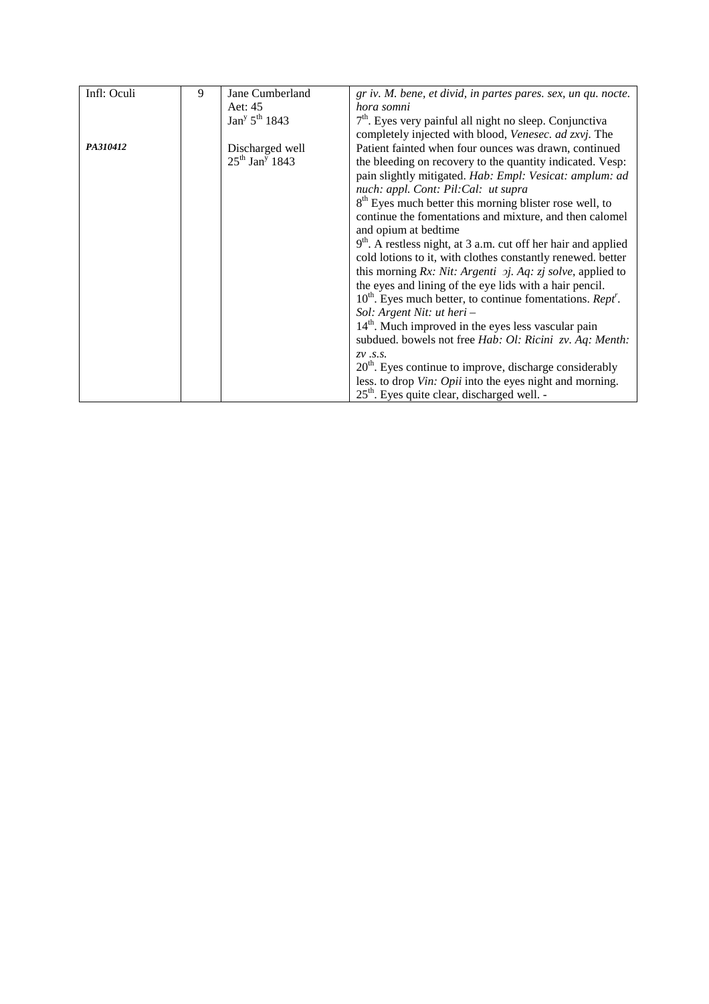| Infl: Oculi | 9 | Jane Cumberland                       | gr iv. M. bene, et divid, in partes pares. sex, un qu. nocte.            |
|-------------|---|---------------------------------------|--------------------------------------------------------------------------|
|             |   |                                       |                                                                          |
|             |   | Aet: 45                               | hora somni                                                               |
|             |   | Jan <sup>y</sup> 5 <sup>th</sup> 1843 | $7th$ . Eyes very painful all night no sleep. Conjunctiva                |
|             |   |                                       | completely injected with blood, Venesec. ad zxvj. The                    |
| PA310412    |   | Discharged well                       | Patient fainted when four ounces was drawn, continued                    |
|             |   | $25^{th}$ Jan <sup>y</sup> 1843       | the bleeding on recovery to the quantity indicated. Vesp:                |
|             |   |                                       | pain slightly mitigated. Hab: Empl: Vesicat: amplum: ad                  |
|             |   |                                       | nuch: appl. Cont: Pil:Cal: ut supra                                      |
|             |   |                                       | 8 <sup>th</sup> Eyes much better this morning blister rose well, to      |
|             |   |                                       | continue the fomentations and mixture, and then calomel                  |
|             |   |                                       | and opium at bedtime                                                     |
|             |   |                                       | $9th$ . A restless night, at 3 a.m. cut off her hair and applied         |
|             |   |                                       | cold lotions to it, with clothes constantly renewed. better              |
|             |   |                                       | this morning $Rx$ : Nit: Argenti $\pi j$ . Aq: $\pi j$ solve, applied to |
|             |   |                                       | the eyes and lining of the eye lids with a hair pencil.                  |
|             |   |                                       | $10^{th}$ . Eyes much better, to continue fomentations. Rept'.           |
|             |   |                                       | Sol: Argent Nit: ut heri -                                               |
|             |   |                                       | $14th$ . Much improved in the eyes less vascular pain                    |
|             |   |                                       | subdued. bowels not free Hab: Ol: Ricini zv. Aq: Menth:                  |
|             |   |                                       | $ZV$ . $S.S.$                                                            |
|             |   |                                       | $20th$ . Eyes continue to improve, discharge considerably                |
|             |   |                                       | less. to drop Vin: Opii into the eyes night and morning.                 |
|             |   |                                       | $25th$ . Eyes quite clear, discharged well. -                            |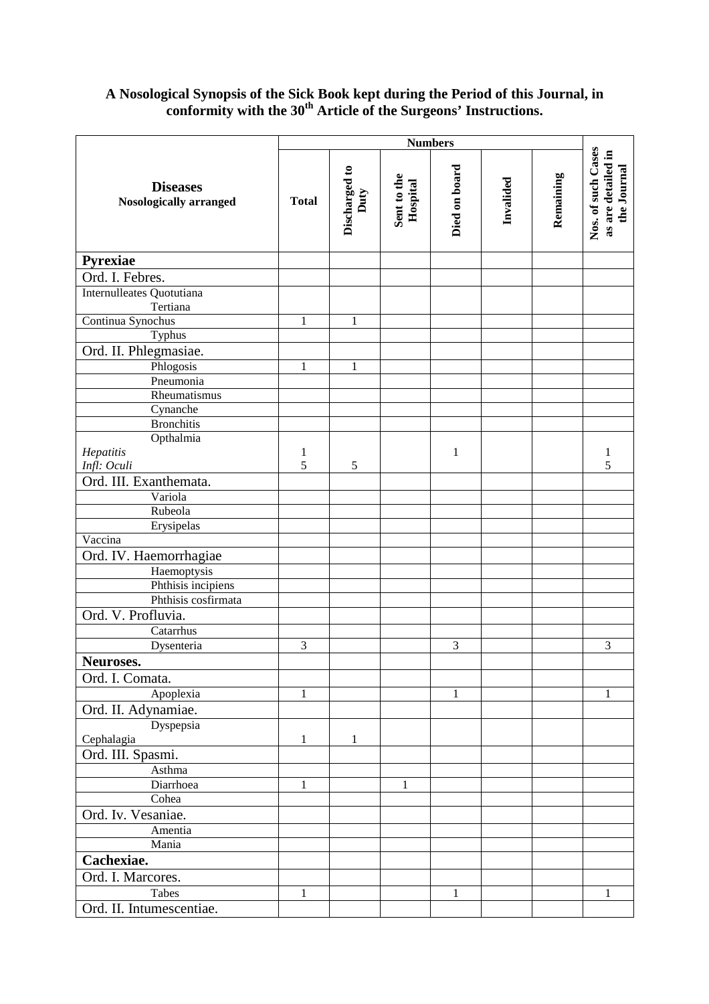## **A Nosological Synopsis of the Sick Book kept during the Period of this Journal, in conformity with the 30th Article of the Surgeons' Instructions.**

|                                                  | <b>Numbers</b> |                       |                         |               |           |           |                                                         |
|--------------------------------------------------|----------------|-----------------------|-------------------------|---------------|-----------|-----------|---------------------------------------------------------|
| <b>Diseases</b><br><b>Nosologically arranged</b> | <b>Total</b>   | Discharged to<br>Duty | Sent to the<br>Hospital | Died on board | Invalided | Remaining | Nos. of such Cases<br>as are detailed in<br>the Journal |
| Pyrexiae                                         |                |                       |                         |               |           |           |                                                         |
| Ord. I. Febres.                                  |                |                       |                         |               |           |           |                                                         |
| Internulleates Quotutiana<br>Tertiana            |                |                       |                         |               |           |           |                                                         |
| Continua Synochus                                | 1              | 1                     |                         |               |           |           |                                                         |
| Typhus                                           |                |                       |                         |               |           |           |                                                         |
| Ord. II. Phlegmasiae.                            |                |                       |                         |               |           |           |                                                         |
| Phlogosis                                        | 1              | 1                     |                         |               |           |           |                                                         |
| Pneumonia                                        |                |                       |                         |               |           |           |                                                         |
| Rheumatismus                                     |                |                       |                         |               |           |           |                                                         |
| Cynanche                                         |                |                       |                         |               |           |           |                                                         |
| <b>Bronchitis</b>                                |                |                       |                         |               |           |           |                                                         |
| Opthalmia                                        |                |                       |                         |               |           |           |                                                         |
| Hepatitis                                        | 1              |                       |                         | 1             |           |           | 1                                                       |
| Infl: Oculi                                      | 5              | 5                     |                         |               |           |           | 5                                                       |
| Ord. III. Exanthemata.                           |                |                       |                         |               |           |           |                                                         |
| Variola                                          |                |                       |                         |               |           |           |                                                         |
| Rubeola                                          |                |                       |                         |               |           |           |                                                         |
| Erysipelas                                       |                |                       |                         |               |           |           |                                                         |
| Vaccina                                          |                |                       |                         |               |           |           |                                                         |
| Ord. IV. Haemorrhagiae                           |                |                       |                         |               |           |           |                                                         |
| Haemoptysis                                      |                |                       |                         |               |           |           |                                                         |
| Phthisis incipiens                               |                |                       |                         |               |           |           |                                                         |
| Phthisis cosfirmata                              |                |                       |                         |               |           |           |                                                         |
| Ord. V. Profluvia.                               |                |                       |                         |               |           |           |                                                         |
| Catarrhus                                        |                |                       |                         |               |           |           |                                                         |
| Dysenteria                                       | 3              |                       |                         | 3             |           |           | 3                                                       |
| Neuroses.                                        |                |                       |                         |               |           |           |                                                         |
| Ord. I. Comata.                                  |                |                       |                         |               |           |           |                                                         |
| Apoplexia                                        | $\mathbf{1}$   |                       |                         | 1             |           |           | $\mathbf{1}$                                            |
| Ord. II. Adynamiae.                              |                |                       |                         |               |           |           |                                                         |
| Dyspepsia                                        |                |                       |                         |               |           |           |                                                         |
| Cephalagia                                       | 1              | 1                     |                         |               |           |           |                                                         |
| Ord. III. Spasmi.                                |                |                       |                         |               |           |           |                                                         |
| Asthma                                           |                |                       |                         |               |           |           |                                                         |
| Diarrhoea                                        | 1              |                       | $\mathbf{1}$            |               |           |           |                                                         |
| Cohea                                            |                |                       |                         |               |           |           |                                                         |
| Ord. Iv. Vesaniae.                               |                |                       |                         |               |           |           |                                                         |
| Amentia                                          |                |                       |                         |               |           |           |                                                         |
| Mania                                            |                |                       |                         |               |           |           |                                                         |
| Cachexiae.                                       |                |                       |                         |               |           |           |                                                         |
| Ord. I. Marcores.                                |                |                       |                         |               |           |           |                                                         |
| Tabes                                            | 1              |                       |                         | 1             |           |           | $\mathbf{1}$                                            |
| Ord. II. Intumescentiae.                         |                |                       |                         |               |           |           |                                                         |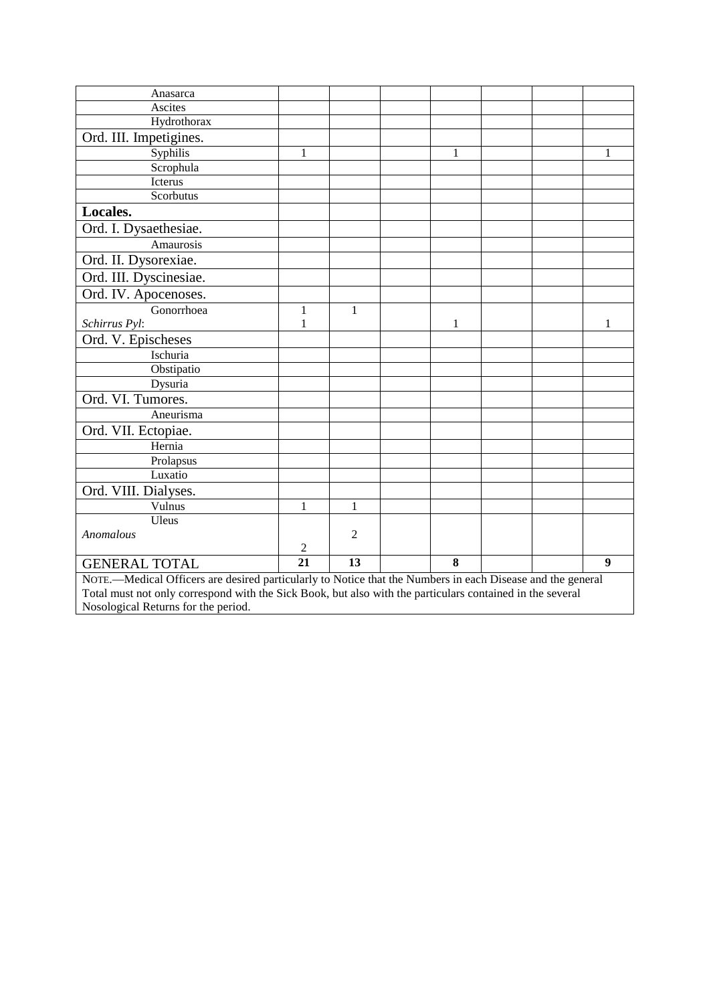| Anasarca                                                                                                   |                |                |  |   |  |  |                  |  |
|------------------------------------------------------------------------------------------------------------|----------------|----------------|--|---|--|--|------------------|--|
| Ascites                                                                                                    |                |                |  |   |  |  |                  |  |
| Hydrothorax                                                                                                |                |                |  |   |  |  |                  |  |
| Ord. III. Impetigines.                                                                                     |                |                |  |   |  |  |                  |  |
| Syphilis                                                                                                   | 1              |                |  | 1 |  |  | 1                |  |
| Scrophula                                                                                                  |                |                |  |   |  |  |                  |  |
| Icterus                                                                                                    |                |                |  |   |  |  |                  |  |
| Scorbutus                                                                                                  |                |                |  |   |  |  |                  |  |
| Locales.                                                                                                   |                |                |  |   |  |  |                  |  |
| Ord. I. Dysaethesiae.                                                                                      |                |                |  |   |  |  |                  |  |
| Amaurosis                                                                                                  |                |                |  |   |  |  |                  |  |
| Ord. II. Dysorexiae.                                                                                       |                |                |  |   |  |  |                  |  |
| Ord. III. Dyscinesiae.                                                                                     |                |                |  |   |  |  |                  |  |
| Ord. IV. Apocenoses.                                                                                       |                |                |  |   |  |  |                  |  |
| Gonorrhoea                                                                                                 | 1              | $\mathbf{1}$   |  |   |  |  |                  |  |
| Schirrus Pyl:                                                                                              | 1              |                |  | 1 |  |  | 1                |  |
| Ord. V. Epischeses                                                                                         |                |                |  |   |  |  |                  |  |
| Ischuria                                                                                                   |                |                |  |   |  |  |                  |  |
| Obstipatio                                                                                                 |                |                |  |   |  |  |                  |  |
| Dysuria                                                                                                    |                |                |  |   |  |  |                  |  |
| Ord. VI. Tumores.                                                                                          |                |                |  |   |  |  |                  |  |
| Aneurisma                                                                                                  |                |                |  |   |  |  |                  |  |
| Ord. VII. Ectopiae.                                                                                        |                |                |  |   |  |  |                  |  |
| Hernia                                                                                                     |                |                |  |   |  |  |                  |  |
| Prolapsus                                                                                                  |                |                |  |   |  |  |                  |  |
| Luxatio                                                                                                    |                |                |  |   |  |  |                  |  |
| Ord. VIII. Dialyses.                                                                                       |                |                |  |   |  |  |                  |  |
| Vulnus                                                                                                     | 1              | 1              |  |   |  |  |                  |  |
| Uleus                                                                                                      |                |                |  |   |  |  |                  |  |
| Anomalous                                                                                                  |                | $\overline{2}$ |  |   |  |  |                  |  |
|                                                                                                            | $\overline{c}$ |                |  |   |  |  |                  |  |
| <b>GENERAL TOTAL</b>                                                                                       | 21             | 13             |  | 8 |  |  | $\boldsymbol{9}$ |  |
| NOTE.-Medical Officers are desired particularly to Notice that the Numbers in each Disease and the general |                |                |  |   |  |  |                  |  |
| Total must not only correspond with the Sick Book, but also with the particulars contained in the several  |                |                |  |   |  |  |                  |  |
| Nosological Returns for the period.                                                                        |                |                |  |   |  |  |                  |  |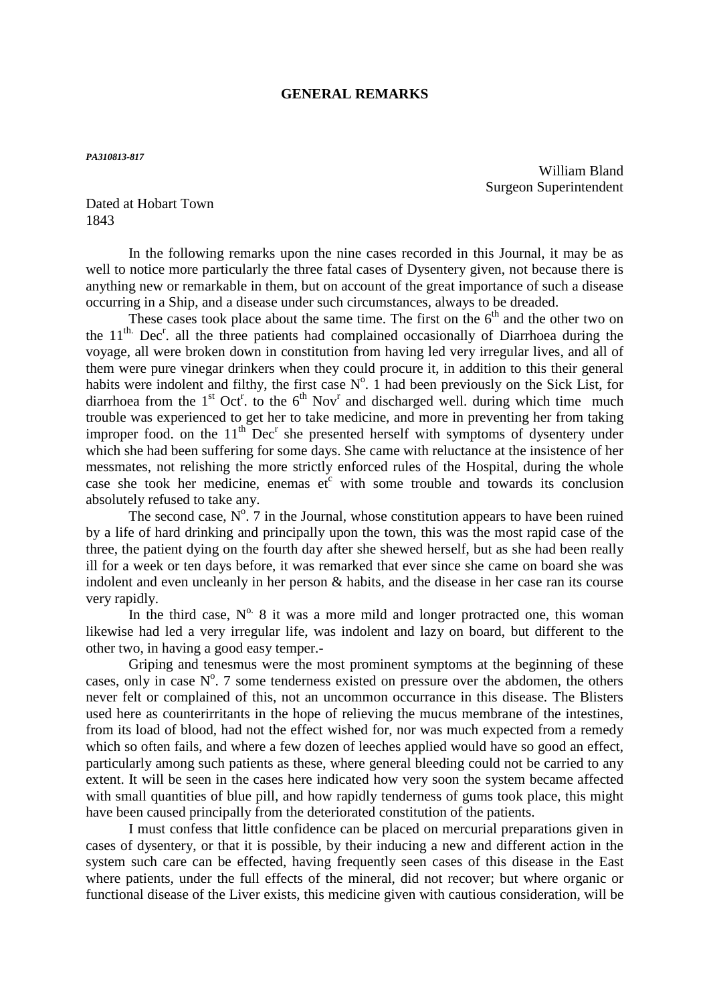### **GENERAL REMARKS**

#### *PA310813-817*

William Bland Surgeon Superintendent

Dated at Hobart Town 1843

 In the following remarks upon the nine cases recorded in this Journal, it may be as well to notice more particularly the three fatal cases of Dysentery given, not because there is anything new or remarkable in them, but on account of the great importance of such a disease occurring in a Ship, and a disease under such circumstances, always to be dreaded.

These cases took place about the same time. The first on the  $6<sup>th</sup>$  and the other two on the  $11<sup>th</sup>$ . Dec<sup>r</sup>. all the three patients had complained occasionally of Diarrhoea during the voyage, all were broken down in constitution from having led very irregular lives, and all of them were pure vinegar drinkers when they could procure it, in addition to this their general habits were indolent and filthy, the first case  $N^{\circ}$ . 1 had been previously on the Sick List, for diarrhoea from the  $1<sup>st</sup> Oct<sup>r</sup>$  to the  $6<sup>th</sup> Nov<sup>r</sup>$  and discharged well. during which time much trouble was experienced to get her to take medicine, and more in preventing her from taking improper food. on the  $11<sup>th</sup>$  Dec<sup>r</sup> she presented herself with symptoms of dysentery under which she had been suffering for some days. She came with reluctance at the insistence of her messmates, not relishing the more strictly enforced rules of the Hospital, during the whole case she took her medicine, enemas  $e^{i^c}$  with some trouble and towards its conclusion absolutely refused to take any.

The second case,  $N^0$ . 7 in the Journal, whose constitution appears to have been ruined by a life of hard drinking and principally upon the town, this was the most rapid case of the three, the patient dying on the fourth day after she shewed herself, but as she had been really ill for a week or ten days before, it was remarked that ever since she came on board she was indolent and even uncleanly in her person & habits, and the disease in her case ran its course very rapidly.

In the third case,  $N^0$ . 8 it was a more mild and longer protracted one, this woman likewise had led a very irregular life, was indolent and lazy on board, but different to the other two, in having a good easy temper.-

 Griping and tenesmus were the most prominent symptoms at the beginning of these cases, only in case  $N^{\circ}$ . 7 some tenderness existed on pressure over the abdomen, the others never felt or complained of this, not an uncommon occurrance in this disease. The Blisters used here as counterirritants in the hope of relieving the mucus membrane of the intestines, from its load of blood, had not the effect wished for, nor was much expected from a remedy which so often fails, and where a few dozen of leeches applied would have so good an effect, particularly among such patients as these, where general bleeding could not be carried to any extent. It will be seen in the cases here indicated how very soon the system became affected with small quantities of blue pill, and how rapidly tenderness of gums took place, this might have been caused principally from the deteriorated constitution of the patients.

I must confess that little confidence can be placed on mercurial preparations given in cases of dysentery, or that it is possible, by their inducing a new and different action in the system such care can be effected, having frequently seen cases of this disease in the East where patients, under the full effects of the mineral, did not recover; but where organic or functional disease of the Liver exists, this medicine given with cautious consideration, will be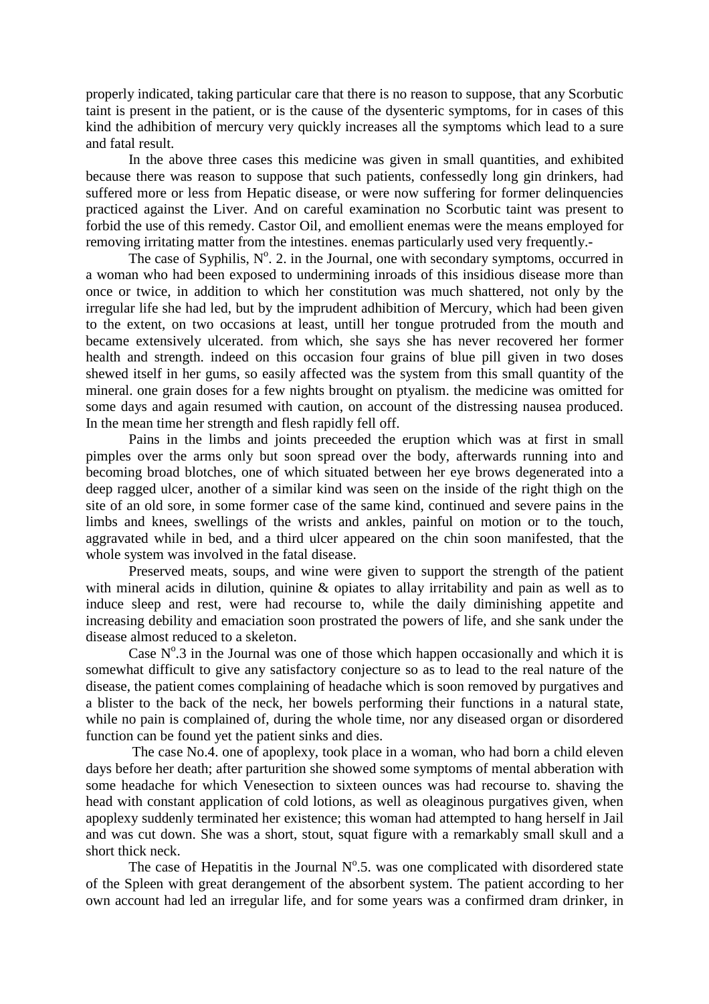properly indicated, taking particular care that there is no reason to suppose, that any Scorbutic taint is present in the patient, or is the cause of the dysenteric symptoms, for in cases of this kind the adhibition of mercury very quickly increases all the symptoms which lead to a sure and fatal result.

 In the above three cases this medicine was given in small quantities, and exhibited because there was reason to suppose that such patients, confessedly long gin drinkers, had suffered more or less from Hepatic disease, or were now suffering for former delinquencies practiced against the Liver. And on careful examination no Scorbutic taint was present to forbid the use of this remedy. Castor Oil, and emollient enemas were the means employed for removing irritating matter from the intestines. enemas particularly used very frequently.-

The case of Syphilis,  $N^{\circ}$ . 2. in the Journal, one with secondary symptoms, occurred in a woman who had been exposed to undermining inroads of this insidious disease more than once or twice, in addition to which her constitution was much shattered, not only by the irregular life she had led, but by the imprudent adhibition of Mercury, which had been given to the extent, on two occasions at least, untill her tongue protruded from the mouth and became extensively ulcerated. from which, she says she has never recovered her former health and strength. indeed on this occasion four grains of blue pill given in two doses shewed itself in her gums, so easily affected was the system from this small quantity of the mineral. one grain doses for a few nights brought on ptyalism. the medicine was omitted for some days and again resumed with caution, on account of the distressing nausea produced. In the mean time her strength and flesh rapidly fell off.

 Pains in the limbs and joints preceeded the eruption which was at first in small pimples over the arms only but soon spread over the body, afterwards running into and becoming broad blotches, one of which situated between her eye brows degenerated into a deep ragged ulcer, another of a similar kind was seen on the inside of the right thigh on the site of an old sore, in some former case of the same kind, continued and severe pains in the limbs and knees, swellings of the wrists and ankles, painful on motion or to the touch, aggravated while in bed, and a third ulcer appeared on the chin soon manifested, that the whole system was involved in the fatal disease.

 Preserved meats, soups, and wine were given to support the strength of the patient with mineral acids in dilution, quinine & opiates to allay irritability and pain as well as to induce sleep and rest, were had recourse to, while the daily diminishing appetite and increasing debility and emaciation soon prostrated the powers of life, and she sank under the disease almost reduced to a skeleton.

Case  $N^{\circ}$ .3 in the Journal was one of those which happen occasionally and which it is somewhat difficult to give any satisfactory conjecture so as to lead to the real nature of the disease, the patient comes complaining of headache which is soon removed by purgatives and a blister to the back of the neck, her bowels performing their functions in a natural state, while no pain is complained of, during the whole time, nor any diseased organ or disordered function can be found yet the patient sinks and dies.

 The case No.4. one of apoplexy, took place in a woman, who had born a child eleven days before her death; after parturition she showed some symptoms of mental abberation with some headache for which Venesection to sixteen ounces was had recourse to. shaving the head with constant application of cold lotions, as well as oleaginous purgatives given, when apoplexy suddenly terminated her existence; this woman had attempted to hang herself in Jail and was cut down. She was a short, stout, squat figure with a remarkably small skull and a short thick neck.

The case of Hepatitis in the Journal  $N^{\circ}$ .5. was one complicated with disordered state of the Spleen with great derangement of the absorbent system. The patient according to her own account had led an irregular life, and for some years was a confirmed dram drinker, in